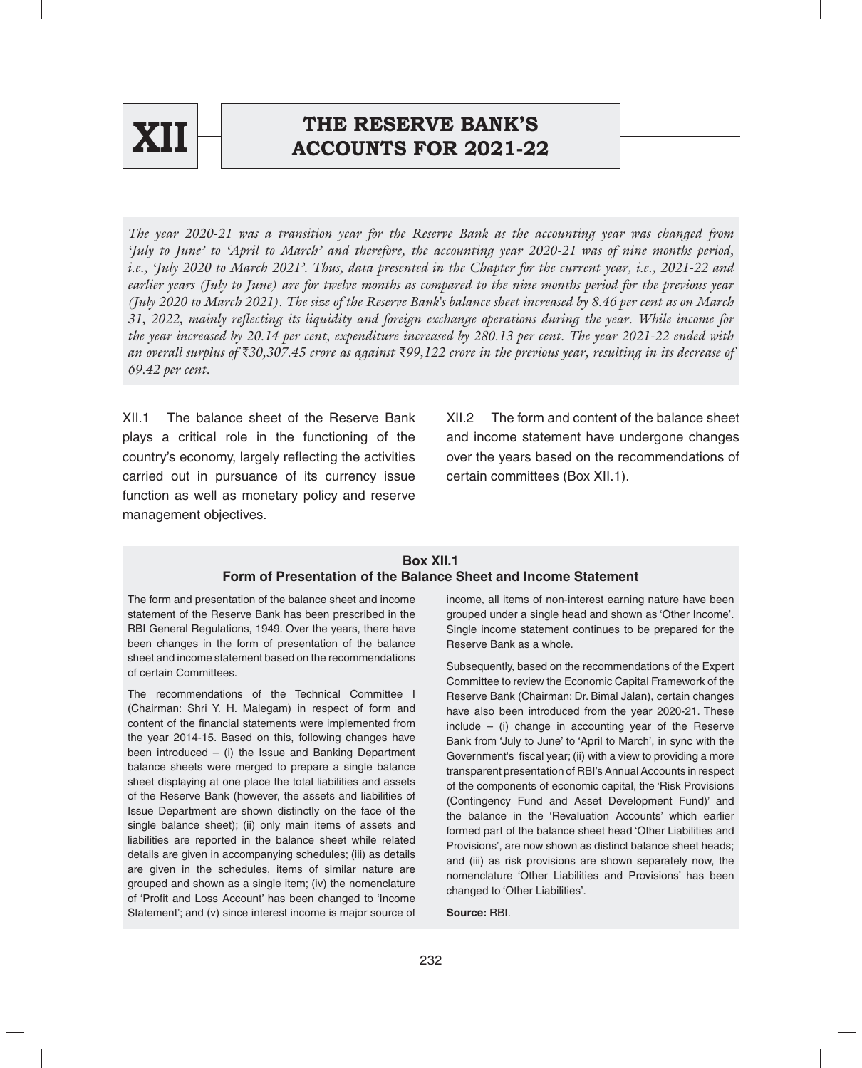

# **XII ACCOUNTS FOR 2021-22**

*The year 2020-21 was a transition year for the Reserve Bank as the accounting year was changed from 'July to June' to 'April to March' and therefore, the accounting year 2020-21 was of nine months period, i.e., 'July 2020 to March 2021'. Thus, data presented in the Chapter for the current year, i.e., 2021-22 and earlier years (July to June) are for twelve months as compared to the nine months period for the previous year (July 2020 to March 2021). The size of the Reserve Bank's balance sheet increased by 8.46 per cent as on March 31, 2022, mainly reflecting its liquidity and foreign exchange operations during the year. While income for the year increased by 20.14 per cent, expenditure increased by 280.13 per cent. The year 2021-22 ended with an overall surplus of* `*30,307.45 crore as against* `*99,122 crore in the previous year, resulting in its decrease of 69.42 per cent.* 

XII.1 The balance sheet of the Reserve Bank plays a critical role in the functioning of the country's economy, largely reflecting the activities carried out in pursuance of its currency issue function as well as monetary policy and reserve management objectives.

XII.2 The form and content of the balance sheet and income statement have undergone changes over the years based on the recommendations of certain committees (Box XII.1).

## **Box XII.1 Form of Presentation of the Balance Sheet and Income Statement**

The form and presentation of the balance sheet and income statement of the Reserve Bank has been prescribed in the RBI General Regulations, 1949. Over the years, there have been changes in the form of presentation of the balance sheet and income statement based on the recommendations of certain Committees.

The recommendations of the Technical Committee I (Chairman: Shri Y. H. Malegam) in respect of form and content of the financial statements were implemented from the year 2014-15. Based on this, following changes have been introduced  $-$  (i) the Issue and Banking Department balance sheets were merged to prepare a single balance sheet displaying at one place the total liabilities and assets of the Reserve Bank (however, the assets and liabilities of Issue Department are shown distinctly on the face of the single balance sheet); (ii) only main items of assets and liabilities are reported in the balance sheet while related details are given in accompanying schedules; (iii) as details are given in the schedules, items of similar nature are grouped and shown as a single item; (iv) the nomenclature of 'Profit and Loss Account' has been changed to 'Income Statement'; and (v) since interest income is major source of income, all items of non-interest earning nature have been grouped under a single head and shown as 'Other Income'. Single income statement continues to be prepared for the Reserve Bank as a whole.

Subsequently, based on the recommendations of the Expert Committee to review the Economic Capital Framework of the Reserve Bank (Chairman: Dr. Bimal Jalan), certain changes have also been introduced from the year 2020-21. These  $include - (i)$  change in accounting year of the Reserve Bank from 'July to June' to 'April to March', in sync with the Government's fiscal year; (ii) with a view to providing a more transparent presentation of RBI's Annual Accounts in respect of the components of economic capital, the 'Risk Provisions (Contingency Fund and Asset Development Fund)' and the balance in the 'Revaluation Accounts' which earlier formed part of the balance sheet head 'Other Liabilities and Provisions', are now shown as distinct balance sheet heads; and (iii) as risk provisions are shown separately now, the nomenclature 'Other Liabilities and Provisions' has been changed to 'Other Liabilities'.

**Source:** RBI.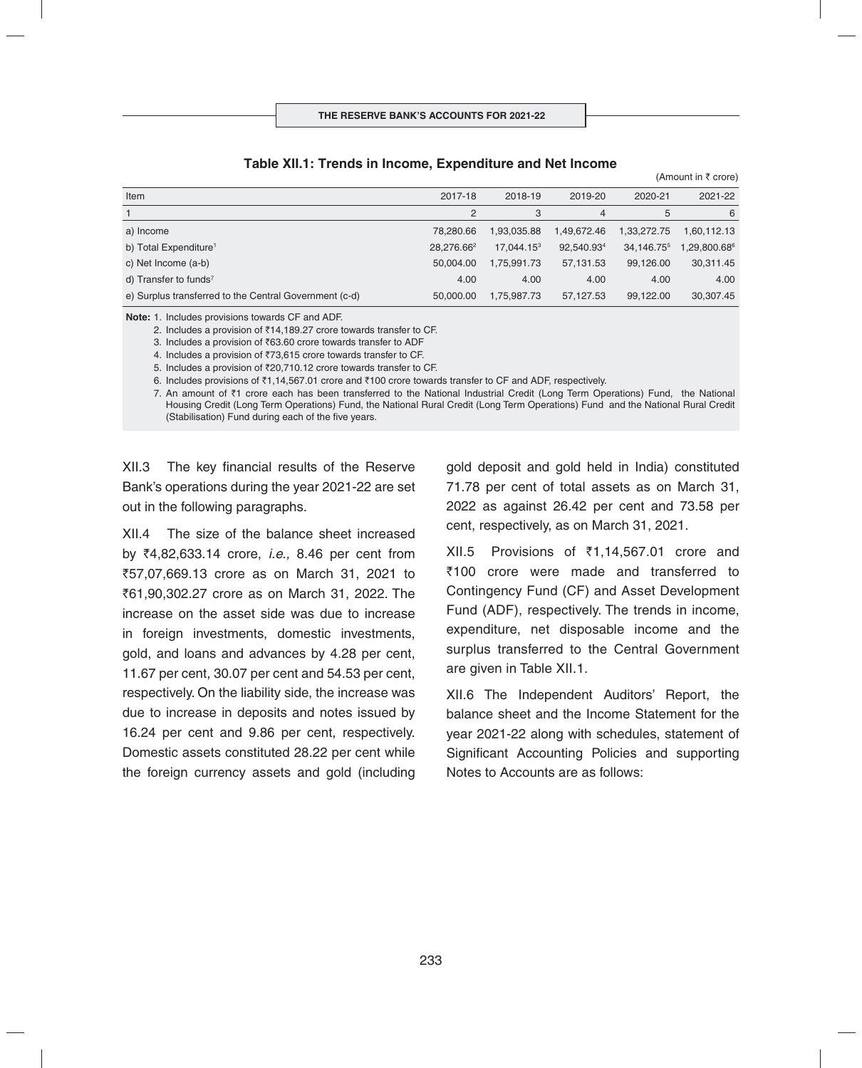#### **Ta ble XII.1: Trends in Income, Expenditure and Net Income**

(Amount in  $\bar{\tau}$  crore) Item 2017-18 2018-19 2019-20 2020-21 2021-22 1 23456 a) Income 78,280.66 1,93,035.88 1,49,672.46 1,33,272.75 1,60,112.13 b) Total Expenditure<sup>1</sup> 28,276.66<sup>2</sup> 17,044.15<sup>3</sup> 92,540.93<sup>4</sup> 34,146.75<sup>5</sup> 1,29,800.68<sup>6</sup> c) Net Income (a-b) 50,004.00 1,75,991.73 57,131.53 99,126.00 30,311.45 d) Transfer to funds7 4.00 4.00 4.00 4.00 4.00 e) Surplus transferred to the Central Government (c-d) 50,000.00 1,75,987.73 57,127.53 99,122.00 30,307.45

**Note:** 1. Includes provisions towards CF and ADF.

2. Includes a provision of  $\bar{\tau}$ 14,189.27 crore towards transfer to CF.

3. Includes a provision of `63.60 crore towards transfer to ADF

4. Includes a provision of ₹73,615 crore towards transfer to CF.

5. Includes a provision of ₹20,710.12 crore towards transfer to CF.

6. Includes provisions of ₹1,14,567.01 crore and ₹100 crore towards transfer to CF and ADF, respectively.

7. An amount of ₹1 crore each has been transferred to the National Industrial Credit (Long Term Operations) Fund, the National Housing Credit (Long Term Operations) Fund, the National Rural Credit (Long Term Operations) Fund and the National Rural Credit (Stabilisation) Fund during each of the five years.

XII.3 The key financial results of the Reserve Bank's operations during the year 2021-22 are set out in the following paragraphs.

XII.4 The size of the balance sheet increased by `4,82,633.14 crore, *i.e.,* 8.46 per cent from `57,07,669.13 crore as on March 31, 2021 to ₹61,90,302.27 crore as on March 31, 2022. The increase on the asset side was due to increase in foreign investments, domestic investments, gold, and loans and advances by 4.28 per cent, 11.67 per cent, 30.07 per cent and 54.53 per cent, respectively. On the liability side, the increase was due to increase in deposits and notes issued by 16.24 per cent and 9.86 per cent, respectively. Domestic assets constituted 28.22 per cent while the foreign currency assets and gold (including gold deposit and gold held in India) constituted 71.78 per cent of total assets as on March 31, 2022 as against 26.42 per cent and 73.58 per cent, respectively, as on March 31, 2021.

 $XII.5$  Provisions of  $\overline{5}1,14,567.01$  crore and ₹100 crore were made and transferred to Contingency Fund (CF) and Asset Development Fund (ADF), respectively. The trends in income, expenditure, net disposable income and the surplus transferred to the Central Government are given in Table XII.1.

XII.6 The Independent Auditors' Report, the balance sheet and the Income Statement for the year 2021-22 along with schedules, statement of Significant Accounting Policies and supporting Notes to Accounts are as follows: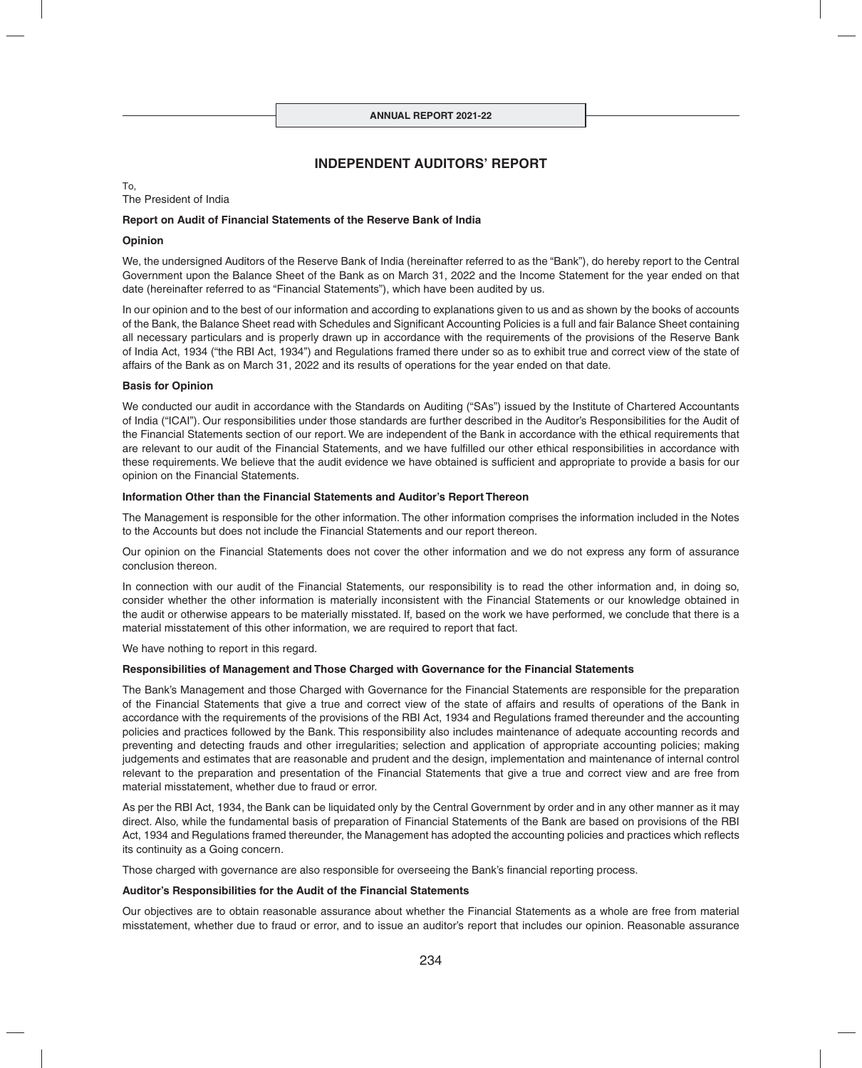## **INDEPENDENT AUDITORS' REPORT**

To, The President of India

#### **Report on Audit of Financial Statements of the Reserve Bank of India**

#### **Opinion**

We, the undersigned Auditors of the Reserve Bank of India (hereinafter referred to as the "Bank"), do hereby report to the Central Government upon the Balance Sheet of the Bank as on March 31, 2022 and the Income Statement for the year ended on that date (hereinafter referred to as "Financial Statements"), which have been audited by us.

In our opinion and to the best of our information and according to explanations given to us and as shown by the books of accounts of the Bank, the Balance Sheet read with Schedules and Significant Accounting Policies is a full and fair Balance Sheet containing all necessary particulars and is properly drawn up in accordance with the requirements of the provisions of the Reserve Bank of India Act, 1934 ("the RBI Act, 1934") and Regulations framed there under so as to exhibit true and correct view of the state of affairs of the Bank as on March 31, 2022 and its results of operations for the year ended on that date.

#### **Basis for Opinion**

We conducted our audit in accordance with the Standards on Auditing ("SAs") issued by the Institute of Chartered Accountants of India ("ICAI"). Our responsibilities under those standards are further described in the Auditor's Responsibilities for the Audit of the Financial Statements section of our report. We are independent of the Bank in accordance with the ethical requirements that are relevant to our audit of the Financial Statements, and we have fulfilled our other ethical responsibilities in accordance with these requirements. We believe that the audit evidence we have obtained is sufficient and appropriate to provide a basis for our opinion on the Financial Statements.

#### **Information Other than the Financial Statements and Auditor's Report Thereon**

The Management is responsible for the other information. The other information comprises the information included in the Notes to the Accounts but does not include the Financial Statements and our report thereon.

Our opinion on the Financial Statements does not cover the other information and we do not express any form of assurance conclusion thereon.

In connection with our audit of the Financial Statements, our responsibility is to read the other information and, in doing so, consider whether the other information is materially inconsistent with the Financial Statements or our knowledge obtained in the audit or otherwise appears to be materially misstated. If, based on the work we have performed, we conclude that there is a material misstatement of this other information, we are required to report that fact.

We have nothing to report in this regard.

#### **Responsibilities of Management and Those Charged with Governance for the Financial Statements**

The Bank's Management and those Charged with Governance for the Financial Statements are responsible for the preparation of the Financial Statements that give a true and correct view of the state of affairs and results of operations of the Bank in accordance with the requirements of the provisions of the RBI Act, 1934 and Regulations framed thereunder and the accounting policies and practices followed by the Bank. This responsibility also includes maintenance of adequate accounting records and preventing and detecting frauds and other irregularities; selection and application of appropriate accounting policies; making judgements and estimates that are reasonable and prudent and the design, implementation and maintenance of internal control relevant to the preparation and presentation of the Financial Statements that give a true and correct view and are free from material misstatement, whether due to fraud or error.

As per the RBI Act, 1934, the Bank can be liquidated only by the Central Government by order and in any other manner as it may direct. Also, while the fundamental basis of preparation of Financial Statements of the Bank are based on provisions of the RBI Act, 1934 and Regulations framed thereunder, the Management has adopted the accounting policies and practices which reflects its continuity as a Going concern.

Those charged with governance are also responsible for overseeing the Bank's financial reporting process.

#### **Auditor's Responsibilities for the Audit of the Financial Statements**

Our objectives are to obtain reasonable assurance about whether the Financial Statements as a whole are free from material misstatement, whether due to fraud or error, and to issue an auditor's report that includes our opinion. Reasonable assurance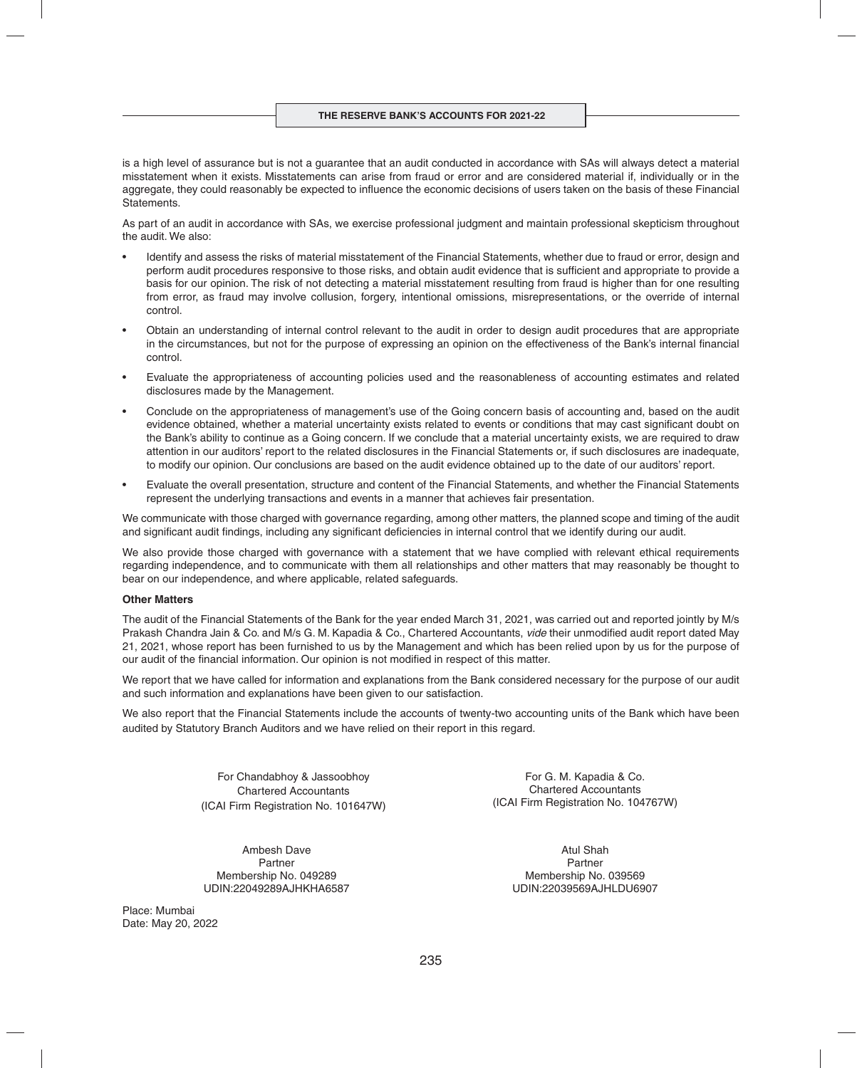is a high level of assurance but is not a guarantee that an audit conducted in accordance with SAs will always detect a material misstatement when it exists. Misstatements can arise from fraud or error and are considered material if, individually or in the aggregate, they could reasonably be expected to influence the economic decisions of users taken on the basis of these Financial Statements.

As part of an audit in accordance with SAs, we exercise professional judgment and maintain professional skepticism throughout the audit. We also:

- Identify and assess the risks of material misstatement of the Financial Statements, whether due to fraud or error, design and perform audit procedures responsive to those risks, and obtain audit evidence that is sufficient and appropriate to provide a basis for our opinion. The risk of not detecting a material misstatement resulting from fraud is higher than for one resulting from error, as fraud may involve collusion, forgery, intentional omissions, misrepresentations, or the override of internal control.
- Obtain an understanding of internal control relevant to the audit in order to design audit procedures that are appropriate in the circumstances, but not for the purpose of expressing an opinion on the effectiveness of the Bank's internal financial control.
- Evaluate the appropriateness of accounting policies used and the reasonableness of accounting estimates and related disclosures made by the Management.
- Conclude on the appropriateness of management's use of the Going concern basis of accounting and, based on the audit evidence obtained, whether a material uncertainty exists related to events or conditions that may cast significant doubt on the Bank's ability to continue as a Going concern. If we conclude that a material uncertainty exists, we are required to draw attention in our auditors' report to the related disclosures in the Financial Statements or, if such disclosures are inadequate, to modify our opinion. Our conclusions are based on the audit evidence obtained up to the date of our auditors' report.
- Evaluate the overall presentation, structure and content of the Financial Statements, and whether the Financial Statements represent the underlying transactions and events in a manner that achieves fair presentation.

We communicate with those charged with governance regarding, among other matters, the planned scope and timing of the audit and significant audit findings, including any significant deficiencies in internal control that we identify during our audit.

We also provide those charged with governance with a statement that we have complied with relevant ethical requirements regarding independence, and to communicate with them all relationships and other matters that may reasonably be thought to bear on our independence, and where applicable, related safeguards.

#### **Other Matters**

The audit of the Financial Statements of the Bank for the year ended March 31, 2021, was carried out and reported jointly by M/s Prakash Chandra Jain & Co. and M/s G. M. Kapadia & Co., Chartered Accountants, *vide* their unmodified audit report dated May 21, 2021, whose report has been furnished to us by the Management and which has been relied upon by us for the purpose of our audit of the financial information. Our opinion is not modified in respect of this matter.

We report that we have called for information and explanations from the Bank considered necessary for the purpose of our audit and such information and explanations have been given to our satisfaction.

We also report that the Financial Statements include the accounts of twenty-two accounting units of the Bank which have been audited by Statutory Branch Auditors and we have relied on their report in this regard.

> For Chandabhoy & Jassoobhoy Chartered Accountants (ICAI Firm Registration No. 101647W)

Ambesh Dave Partner Membership No. 049289 UDIN:22049289AJHKHA6587

Place: Mumbai Date: May 20, 2022

For G. M. Kapadia & Co. Chartered Accountants (ICAI Firm Registration No. 104767W)

> Atul Shah Partner Membership No. 039569 UDIN:22039569AJHLDU6907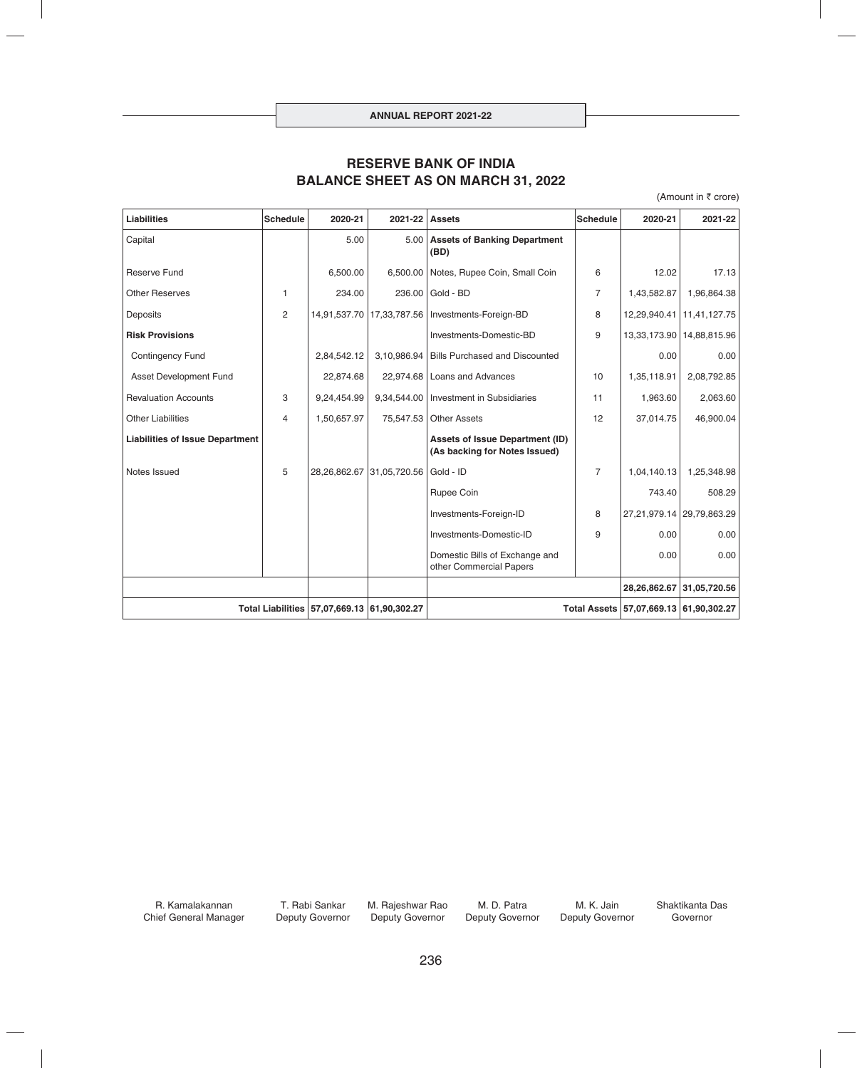# **RESERVE BANK OF INDIA BALANCE SHEET AS ON MARCH 31, 2022**

(Amount in  $\bar{\tau}$  crore)

| <b>Liabilities</b>                          | <b>Schedule</b> | 2020-21      | 2021-22                         | <b>Assets</b>                                                           | <b>Schedule</b> | 2020-21                                | 2021-22                     |
|---------------------------------------------|-----------------|--------------|---------------------------------|-------------------------------------------------------------------------|-----------------|----------------------------------------|-----------------------------|
| Capital                                     |                 | 5.00         |                                 | 5.00 Assets of Banking Department<br>(BD)                               |                 |                                        |                             |
| <b>Reserve Fund</b>                         |                 | 6,500.00     |                                 | 6,500.00 Notes, Rupee Coin, Small Coin                                  | 6               | 12.02                                  | 17.13                       |
| <b>Other Reserves</b>                       | 1               | 234.00       | 236.00                          | Gold - BD                                                               | $\overline{7}$  | 1,43,582.87                            | 1,96,864.38                 |
| Deposits                                    | 2               | 14,91,537.70 |                                 | 17,33,787.56   Investments-Foreign-BD                                   | 8               |                                        | 12,29,940.41   11,41,127.75 |
| <b>Risk Provisions</b>                      |                 |              |                                 | Investments-Domestic-BD                                                 | 9               |                                        | 13,33,173.90   14,88,815.96 |
| <b>Contingency Fund</b>                     |                 | 2,84,542.12  | 3,10,986.94                     | <b>Bills Purchased and Discounted</b>                                   |                 | 0.00                                   | 0.00                        |
| Asset Development Fund                      |                 | 22,874.68    |                                 | 10<br>22,974.68   Loans and Advances                                    |                 | 1,35,118.91                            | 2,08,792.85                 |
| <b>Revaluation Accounts</b>                 | 3               | 9,24,454.99  |                                 | 9,34,544.00   Investment in Subsidiaries<br>11                          |                 | 1,963.60                               | 2,063.60                    |
| <b>Other Liabilities</b>                    | 4               | 1,50,657.97  |                                 | 12<br>75,547.53 Other Assets                                            |                 | 37,014.75                              | 46,900.04                   |
| <b>Liabilities of Issue Department</b>      |                 |              |                                 | <b>Assets of Issue Department (ID)</b><br>(As backing for Notes Issued) |                 |                                        |                             |
| Notes Issued                                | 5               |              | 28, 26, 862. 67 31, 05, 720. 56 | Gold - ID                                                               | $\overline{7}$  | 1,04,140.13                            | 1,25,348.98                 |
|                                             |                 |              |                                 | Rupee Coin                                                              |                 | 743.40                                 | 508.29                      |
|                                             |                 |              |                                 | Investments-Foreign-ID                                                  | 8               |                                        | 27,21,979.14 29,79,863.29   |
|                                             |                 |              |                                 | Investments-Domestic-ID<br>9                                            |                 | 0.00                                   | 0.00                        |
|                                             |                 |              |                                 | Domestic Bills of Exchange and<br>other Commercial Papers               |                 | 0.00                                   | 0.00                        |
|                                             |                 |              |                                 |                                                                         |                 |                                        | 28,26,862.67 31,05,720.56   |
| Total Liabilities 57,07,669.13 61,90,302.27 |                 |              |                                 |                                                                         |                 | Total Assets 57,07,669.13 61,90,302.27 |                             |

R. Kamalakannan Chief General Manager

T. Rabi Sankar Deputy Governor

M. Rajeshwar Rao Deputy Governor

M. D. Patra Deputy Governor

M. K. Jain Deputy Governor Shaktikanta Das Governor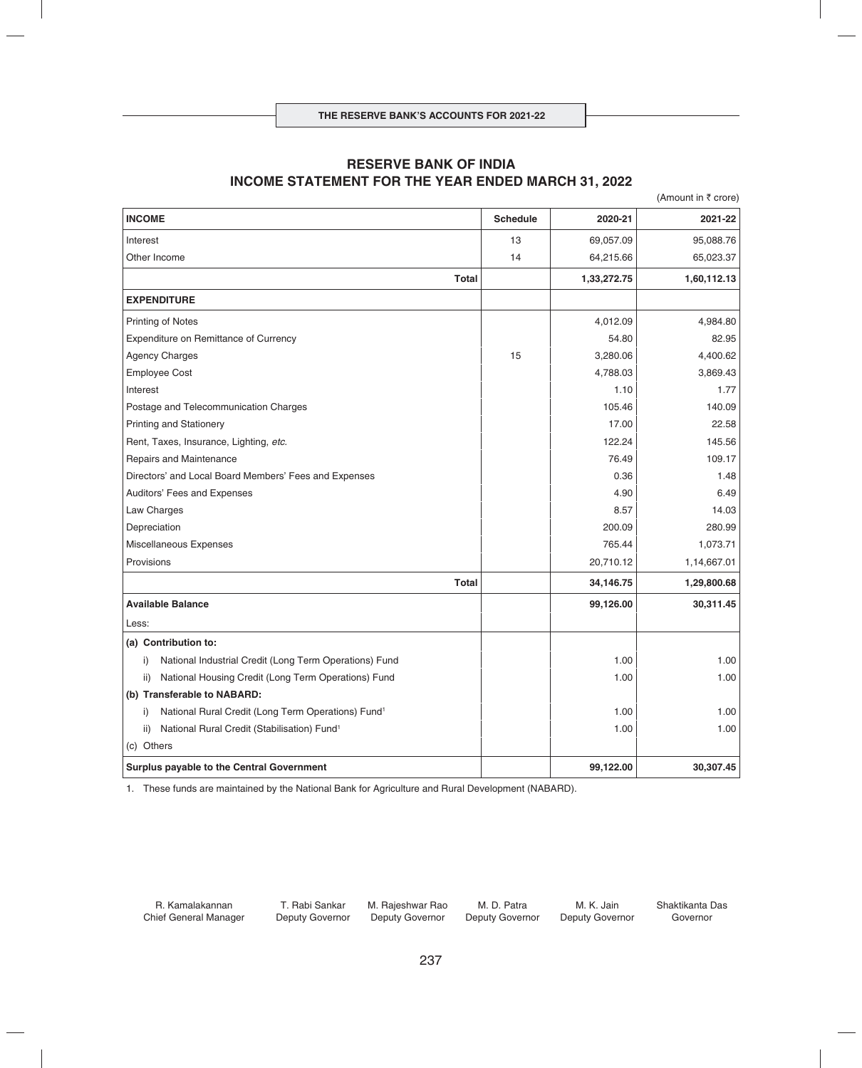## **RESERVE BANK OF INDIA INCOME STATEMENT FOR THE YEAR ENDED MARCH 31, 2022**

(Amount in  $\bar{\tau}$  crore) **INCOME Schedule 2020-21 2021-22** Interest 13 69,057.09 95,088.76 Other Income 14 64,215.66 65,023.37 Total 1,33,272.75 1,60,112.13 **EXPENDITURE** Printing of Notes 4,984.80 Expenditure on Remittance of Currency **Expenditure on Remittance of Currency 62.95** Agency Charges 2,4400.62 2 and 3,280.06 4,400.62 Employee Cost 4,788.03 3,869.43 Interest the contract of the contract of the contract of the contract of the contract of the contract of the contract of the contract of the contract of the contract of the contract of the contract of the contract of the Postage and Telecommunication Charges 105.46 140.09 Printing and Stationery 22.58 Rent, Taxes, Insurance, Lighting, *etc.* 145.56 145.56 Repairs and Maintenance 109.17 109.17 Directors' and Local Board Members' Fees and Expenses 0.36 1.48 Auditors' Fees and Expenses 6.49 and Expenses 6.49 and Expenses 6.49 and Expenses 6.49 and Expenses 6.49 and Expenses 6.49 and Expenses 6.49 and Expenses 6.49 and Expenses 6.49 and Expenses 6.49 and Expenses 6.49 and Expen Law Charges 8.57 14.03 Depreciation 200.09 280.99 Miscellaneous Expenses 2008 1,073.71 Provisions 20,710.12 1,14,667.01 **Total 34,146.75 1,29,800.68 Available Balance 99,126.00 30,311.45** Less: **(a) Contribution to:** i) National Industrial Credit (Long Term Operations) Fund 1.00 1.00 1.00 1.00 1.00 ii) National Housing Credit (Long Term Operations) Fund 1.00 1.00 1.00 1.00 1.00 1.00 **(b) Transferable to NABARD:** i) National Rural Credit (Long Term Operations) Fund<sup>1</sup> 1.00 1.00 1.00 1.00 1.00 1.00 1.00 ii) National Rural Credit (Stabilisation) Fund1 1.00 1.00 (c) Others **Surplus payable to the Central Government 600 and 100 and 100 and 100 and 100 and 100 and 100 and 100 and 100 and 100 and 100 and 100 and 100 and 100 and 100 and 100 and 100 and 100 and 100 and 100 and 100 and 100 and 100** 

1. These funds are maintained by the National Bank for Agriculture and Rural Development (NABARD).

R. Kamalakannan Chief General Manager

T. Rabi Sankar Deputy Governor

M. Rajeshwar Rao Deputy Governor

M. D. Patra Deputy Governor

M. K. Jain Deputy Governor Shaktikanta Das Governor

237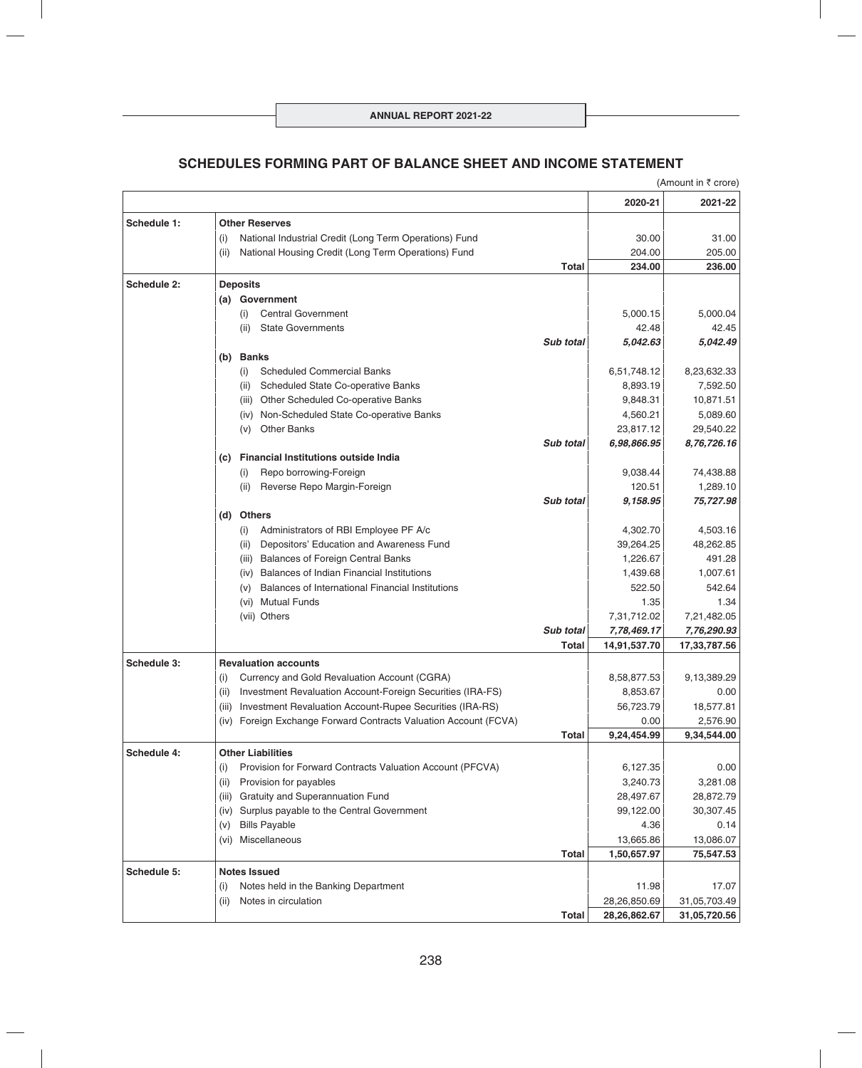# **SCHEDULES FORMING PART OF BALANCE SHEET AND INCOME STATEMENT**

|             |                                                                    |                  |              | (Amount in ₹ crore) |
|-------------|--------------------------------------------------------------------|------------------|--------------|---------------------|
|             |                                                                    |                  | 2020-21      | 2021-22             |
| Schedule 1: | <b>Other Reserves</b>                                              |                  |              |                     |
|             | National Industrial Credit (Long Term Operations) Fund<br>(i)      |                  | 30.00        | 31.00               |
|             | National Housing Credit (Long Term Operations) Fund<br>(ii)        |                  | 204.00       | 205.00              |
|             |                                                                    | Total            | 234.00       | 236.00              |
| Schedule 2: | <b>Deposits</b>                                                    |                  |              |                     |
|             | (a) Government                                                     |                  |              |                     |
|             | <b>Central Government</b><br>(i)                                   |                  | 5,000.15     | 5,000.04            |
|             | <b>State Governments</b><br>(ii)                                   |                  | 42.48        | 42.45               |
|             |                                                                    | Sub total        | 5,042.63     | 5,042.49            |
|             | (b) Banks                                                          |                  |              |                     |
|             | <b>Scheduled Commercial Banks</b><br>(i)                           |                  | 6,51,748.12  | 8,23,632.33         |
|             | Scheduled State Co-operative Banks<br>(ii)                         |                  | 8,893.19     | 7,592.50            |
|             | Other Scheduled Co-operative Banks<br>(iii)                        |                  | 9,848.31     | 10,871.51           |
|             | Non-Scheduled State Co-operative Banks<br>(iv)                     |                  | 4,560.21     | 5,089.60            |
|             | <b>Other Banks</b><br>(v)                                          |                  | 23,817.12    | 29,540.22           |
|             |                                                                    | <b>Sub total</b> | 6,98,866.95  | 8,76,726.16         |
|             | <b>Financial Institutions outside India</b><br>(C)                 |                  |              |                     |
|             | Repo borrowing-Foreign<br>(i)                                      |                  | 9,038.44     | 74,438.88           |
|             | Reverse Repo Margin-Foreign<br>(ii)                                |                  | 120.51       | 1,289.10            |
|             | (d) Others                                                         | <b>Sub total</b> | 9,158.95     | 75,727.98           |
|             | Administrators of RBI Employee PF A/c<br>(i)                       |                  | 4,302.70     | 4,503.16            |
|             | Depositors' Education and Awareness Fund<br>(ii)                   |                  | 39,264.25    | 48,262.85           |
|             | <b>Balances of Foreign Central Banks</b><br>(iii)                  |                  | 1,226.67     | 491.28              |
|             | Balances of Indian Financial Institutions<br>(iv)                  |                  | 1,439.68     | 1,007.61            |
|             | Balances of International Financial Institutions<br>(v)            |                  | 522.50       | 542.64              |
|             | <b>Mutual Funds</b><br>(vi)                                        |                  | 1.35         | 1.34                |
|             | (vii) Others                                                       |                  | 7,31,712.02  | 7,21,482.05         |
|             |                                                                    | Sub total        | 7,78,469.17  | 7,76,290.93         |
|             |                                                                    | Total            | 14,91,537.70 | 17,33,787.56        |
| Schedule 3: | <b>Revaluation accounts</b>                                        |                  |              |                     |
|             | Currency and Gold Revaluation Account (CGRA)<br>(i)                |                  | 8,58,877.53  | 9,13,389.29         |
|             | Investment Revaluation Account-Foreign Securities (IRA-FS)<br>(ii) |                  | 8,853.67     | 0.00                |
|             | Investment Revaluation Account-Rupee Securities (IRA-RS)<br>(iii)  |                  | 56,723.79    | 18,577.81           |
|             | (iv) Foreign Exchange Forward Contracts Valuation Account (FCVA)   |                  | 0.00         | 2,576.90            |
|             |                                                                    | <b>Total</b>     | 9,24,454.99  | 9,34,544.00         |
| Schedule 4: | <b>Other Liabilities</b>                                           |                  |              |                     |
|             | Provision for Forward Contracts Valuation Account (PFCVA)<br>(i)   |                  | 6,127.35     | 0.00                |
|             | Provision for payables<br>(ii)                                     |                  | 3,240.73     | 3,281.08            |
|             | Gratuity and Superannuation Fund<br>(iii)                          |                  | 28,497.67    | 28,872.79           |
|             | (iv) Surplus payable to the Central Government                     |                  | 99,122.00    | 30,307.45           |
|             | <b>Bills Payable</b><br>(v)                                        |                  | 4.36         | 0.14                |
|             | Miscellaneous<br>(vi)                                              |                  | 13,665.86    | 13,086.07           |
|             |                                                                    | <b>Total</b>     | 1,50,657.97  | 75,547.53           |
| Schedule 5: | <b>Notes Issued</b>                                                |                  |              |                     |
|             | Notes held in the Banking Department<br>(i)                        |                  | 11.98        | 17.07               |
|             | Notes in circulation<br>(ii)                                       |                  | 28,26,850.69 | 31,05,703.49        |
|             |                                                                    | Total            | 28,26,862.67 | 31,05,720.56        |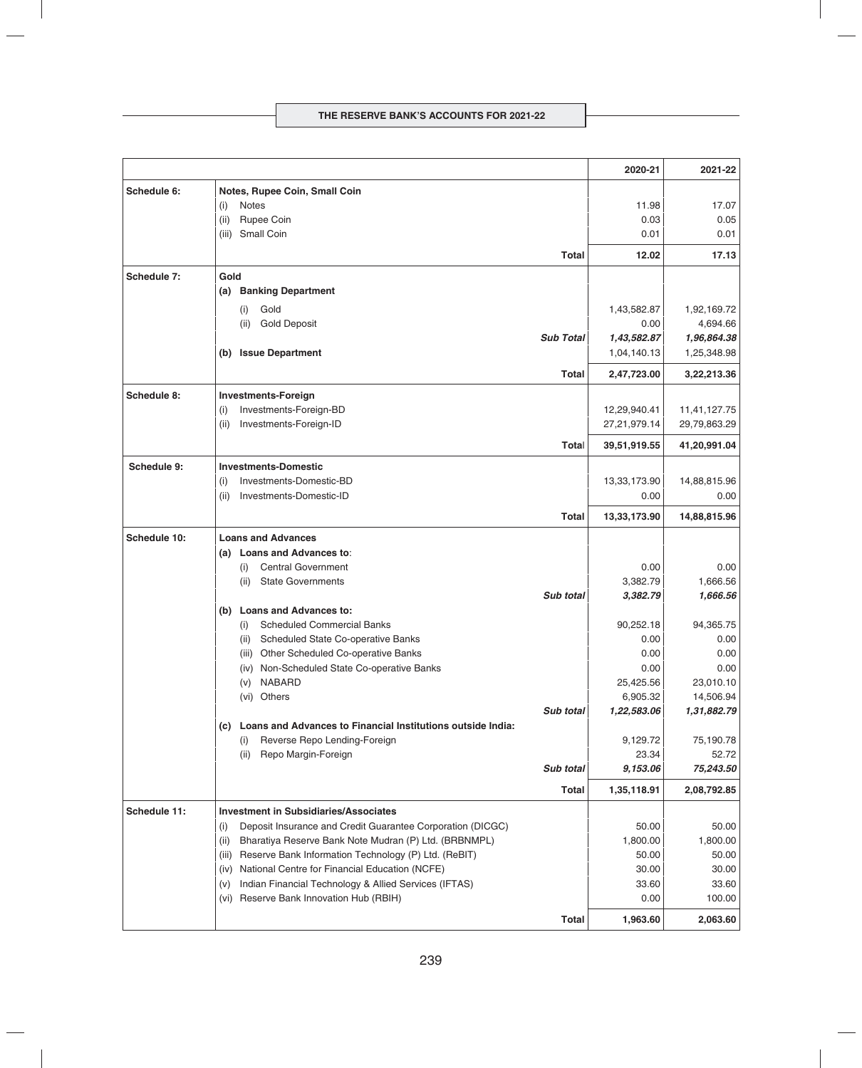|              |                                                                     |                  | 2020-21           | 2021-22           |
|--------------|---------------------------------------------------------------------|------------------|-------------------|-------------------|
| Schedule 6:  | Notes, Rupee Coin, Small Coin                                       |                  |                   |                   |
|              | <b>Notes</b><br>(i)                                                 |                  | 11.98             | 17.07             |
|              | (ii)<br>Rupee Coin                                                  |                  | 0.03              | 0.05              |
|              | Small Coin<br>(iii)                                                 |                  | 0.01              | 0.01              |
|              |                                                                     | Total            | 12.02             | 17.13             |
| Schedule 7:  | Gold                                                                |                  |                   |                   |
|              | <b>Banking Department</b><br>(a)                                    |                  |                   |                   |
|              | Gold<br>(i)                                                         |                  | 1,43,582.87       | 1,92,169.72       |
|              | <b>Gold Deposit</b><br>(ii)                                         |                  | 0.00              | 4,694.66          |
|              |                                                                     | <b>Sub Total</b> | 1,43,582.87       | 1,96,864.38       |
|              | <b>Issue Department</b><br>(b)                                      |                  | 1,04,140.13       | 1,25,348.98       |
|              |                                                                     | <b>Total</b>     | 2,47,723.00       | 3,22,213.36       |
| Schedule 8:  | <b>Investments-Foreign</b>                                          |                  |                   |                   |
|              | Investments-Foreign-BD<br>(i)                                       |                  | 12,29,940.41      | 11,41,127.75      |
|              | Investments-Foreign-ID<br>(ii)                                      |                  | 27,21,979.14      | 29,79,863.29      |
|              |                                                                     | Total            | 39,51,919.55      | 41,20,991.04      |
| Schedule 9:  | <b>Investments-Domestic</b>                                         |                  |                   |                   |
|              | Investments-Domestic-BD<br>(i)                                      |                  | 13,33,173.90      | 14,88,815.96      |
|              | Investments-Domestic-ID<br>(ii)                                     |                  | 0.00              | 0.00              |
|              |                                                                     | <b>Total</b>     | 13,33,173.90      | 14,88,815.96      |
| Schedule 10: | <b>Loans and Advances</b>                                           |                  |                   |                   |
|              | Loans and Advances to:<br>(a)                                       |                  |                   |                   |
|              | <b>Central Government</b><br>(i)                                    |                  | 0.00              | 0.00              |
|              | <b>State Governments</b><br>(ii)                                    |                  | 3,382.79          | 1,666.56          |
|              |                                                                     | <b>Sub total</b> | 3,382.79          | 1,666.56          |
|              | <b>Loans and Advances to:</b><br>(b)                                |                  |                   |                   |
|              | <b>Scheduled Commercial Banks</b><br>(i)                            |                  | 90,252.18         | 94,365.75         |
|              | Scheduled State Co-operative Banks<br>(ii)                          |                  | 0.00              | 0.00              |
|              | Other Scheduled Co-operative Banks<br>(iii)                         |                  | 0.00              | 0.00              |
|              | (iv) Non-Scheduled State Co-operative Banks<br><b>NABARD</b><br>(v) |                  | 0.00<br>25,425.56 | 0.00<br>23,010.10 |
|              | (vi) Others                                                         |                  | 6,905.32          | 14,506.94         |
|              |                                                                     | Sub total        | 1,22,583.06       | 1,31,882.79       |
|              | (c) Loans and Advances to Financial Institutions outside India:     |                  |                   |                   |
|              | Reverse Repo Lending-Foreign<br>(i)                                 |                  | 9,129.72          | 75,190.78         |
|              | Repo Margin-Foreign<br>(ii)                                         |                  | 23.34             | 52.72             |
|              |                                                                     | Sub total        | 9,153.06          | 75,243.50         |
|              |                                                                     | Total            | 1,35,118.91       | 2,08,792.85       |
| Schedule 11: | <b>Investment in Subsidiaries/Associates</b>                        |                  |                   |                   |
|              | Deposit Insurance and Credit Guarantee Corporation (DICGC)<br>(i)   |                  | 50.00             | 50.00             |
|              | Bharatiya Reserve Bank Note Mudran (P) Ltd. (BRBNMPL)<br>(ii)       |                  | 1,800.00          | 1,800.00          |
|              | Reserve Bank Information Technology (P) Ltd. (ReBIT)<br>(iii)       |                  | 50.00             | 50.00             |
|              | National Centre for Financial Education (NCFE)<br>(iv)              |                  | 30.00             | 30.00             |
|              | Indian Financial Technology & Allied Services (IFTAS)<br>(v)        |                  | 33.60             | 33.60             |
|              | Reserve Bank Innovation Hub (RBIH)<br>(vi)                          |                  | 0.00              | 100.00            |
|              |                                                                     | <b>Total</b>     | 1,963.60          | 2,063.60          |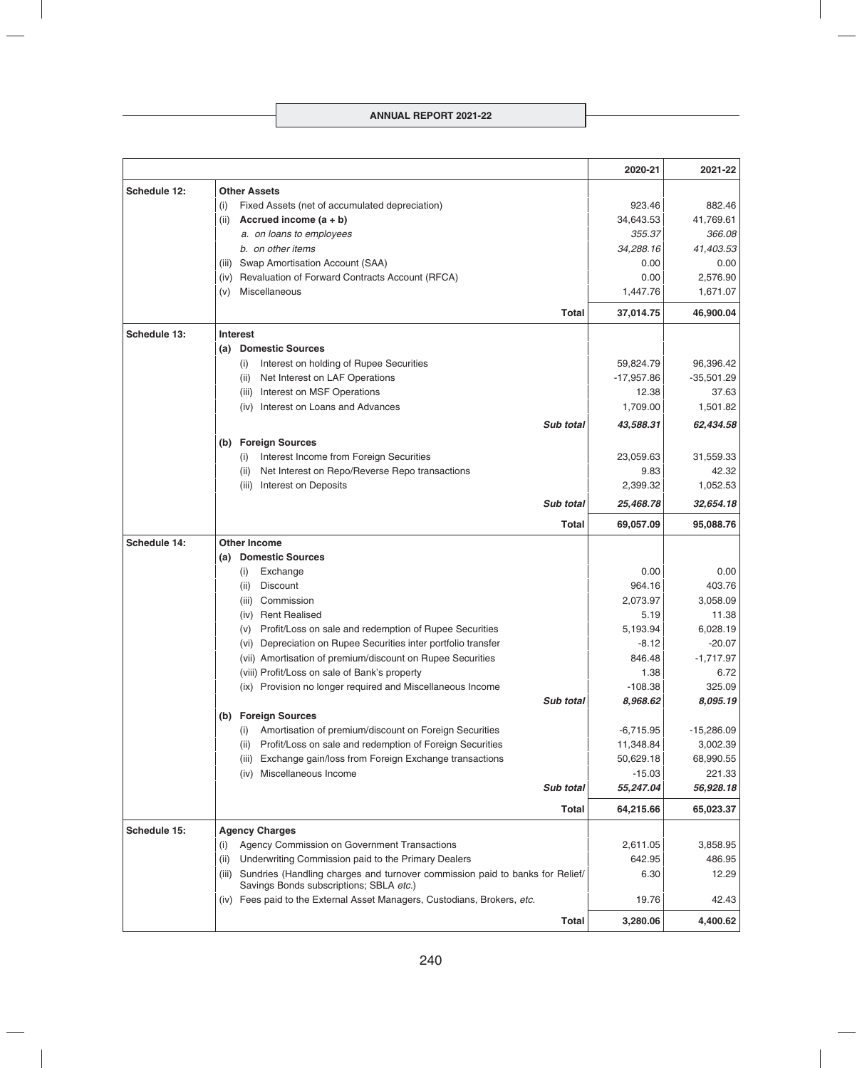|              |                                                                                                                                  | 2020-21      | 2021-22      |
|--------------|----------------------------------------------------------------------------------------------------------------------------------|--------------|--------------|
| Schedule 12: | <b>Other Assets</b>                                                                                                              |              |              |
|              | Fixed Assets (net of accumulated depreciation)<br>(i)                                                                            | 923.46       | 882.46       |
|              | Accrued income $(a + b)$<br>(ii)                                                                                                 | 34,643.53    | 41,769.61    |
|              | a. on loans to employees                                                                                                         | 355.37       | 366.08       |
|              | b. on other items                                                                                                                | 34,288.16    | 41,403.53    |
|              | Swap Amortisation Account (SAA)<br>(iii)                                                                                         | 0.00         | 0.00         |
|              | Revaluation of Forward Contracts Account (RFCA)<br>(iv)                                                                          | 0.00         | 2,576.90     |
|              | Miscellaneous<br>(v)                                                                                                             | 1,447.76     | 1,671.07     |
|              | Total                                                                                                                            | 37,014.75    | 46,900.04    |
| Schedule 13: | <b>Interest</b>                                                                                                                  |              |              |
|              | <b>Domestic Sources</b><br>(a)                                                                                                   |              |              |
|              | Interest on holding of Rupee Securities<br>(i)                                                                                   | 59,824.79    | 96,396.42    |
|              | (ii)<br>Net Interest on LAF Operations                                                                                           | $-17,957.86$ | $-35,501.29$ |
|              | Interest on MSF Operations<br>(iii)                                                                                              | 12.38        | 37.63        |
|              | (iv) Interest on Loans and Advances                                                                                              | 1,709.00     | 1,501.82     |
|              | <b>Sub total</b>                                                                                                                 | 43,588.31    | 62,434.58    |
|              | <b>Foreign Sources</b><br>(b)                                                                                                    |              |              |
|              | Interest Income from Foreign Securities<br>(i)                                                                                   | 23,059.63    | 31,559.33    |
|              | (ii)<br>Net Interest on Repo/Reverse Repo transactions                                                                           | 9.83         | 42.32        |
|              | Interest on Deposits<br>(iii)                                                                                                    | 2,399.32     | 1,052.53     |
|              | <b>Sub total</b>                                                                                                                 | 25,468.78    | 32,654.18    |
|              | Total                                                                                                                            | 69,057.09    | 95,088.76    |
| Schedule 14: | <b>Other Income</b>                                                                                                              |              |              |
|              | (a) Domestic Sources                                                                                                             |              |              |
|              | Exchange<br>(i)                                                                                                                  | 0.00         | 0.00         |
|              | Discount<br>(ii)                                                                                                                 | 964.16       | 403.76       |
|              | Commission<br>(iii)                                                                                                              | 2,073.97     | 3,058.09     |
|              | (iv) Rent Realised                                                                                                               | 5.19         | 11.38        |
|              | Profit/Loss on sale and redemption of Rupee Securities<br>(v)                                                                    | 5.193.94     | 6,028.19     |
|              | Depreciation on Rupee Securities inter portfolio transfer<br>(vi)                                                                | $-8.12$      | $-20.07$     |
|              | (vii) Amortisation of premium/discount on Rupee Securities                                                                       | 846.48       | $-1,717.97$  |
|              | (viii) Profit/Loss on sale of Bank's property                                                                                    | 1.38         | 6.72         |
|              | (ix) Provision no longer required and Miscellaneous Income                                                                       | $-108.38$    | 325.09       |
|              | Sub total                                                                                                                        | 8,968.62     | 8,095.19     |
|              | (b) Foreign Sources                                                                                                              |              |              |
|              | Amortisation of premium/discount on Foreign Securities<br>(i)                                                                    | $-6,715.95$  | $-15,286.09$ |
|              | Profit/Loss on sale and redemption of Foreign Securities<br>(ii)                                                                 | 11,348.84    | 3,002.39     |
|              | Exchange gain/loss from Foreign Exchange transactions<br>(iii)                                                                   | 50,629.18    | 68,990.55    |
|              | Miscellaneous Income<br>(iv)                                                                                                     | $-15.03$     | 221.33       |
|              | Sub total                                                                                                                        | 55,247.04    | 56,928.18    |
|              | Total                                                                                                                            | 64,215.66    | 65,023.37    |
| Schedule 15: | <b>Agency Charges</b>                                                                                                            |              |              |
|              | Agency Commission on Government Transactions<br>(i)                                                                              | 2,611.05     | 3,858.95     |
|              | Underwriting Commission paid to the Primary Dealers<br>(ii)                                                                      | 642.95       | 486.95       |
|              | Sundries (Handling charges and turnover commission paid to banks for Relief/<br>(iii)<br>Savings Bonds subscriptions; SBLA etc.) | 6.30         | 12.29        |
|              | (iv) Fees paid to the External Asset Managers, Custodians, Brokers, etc.                                                         | 19.76        | 42.43        |
|              | <b>Total</b>                                                                                                                     | 3,280.06     | 4,400.62     |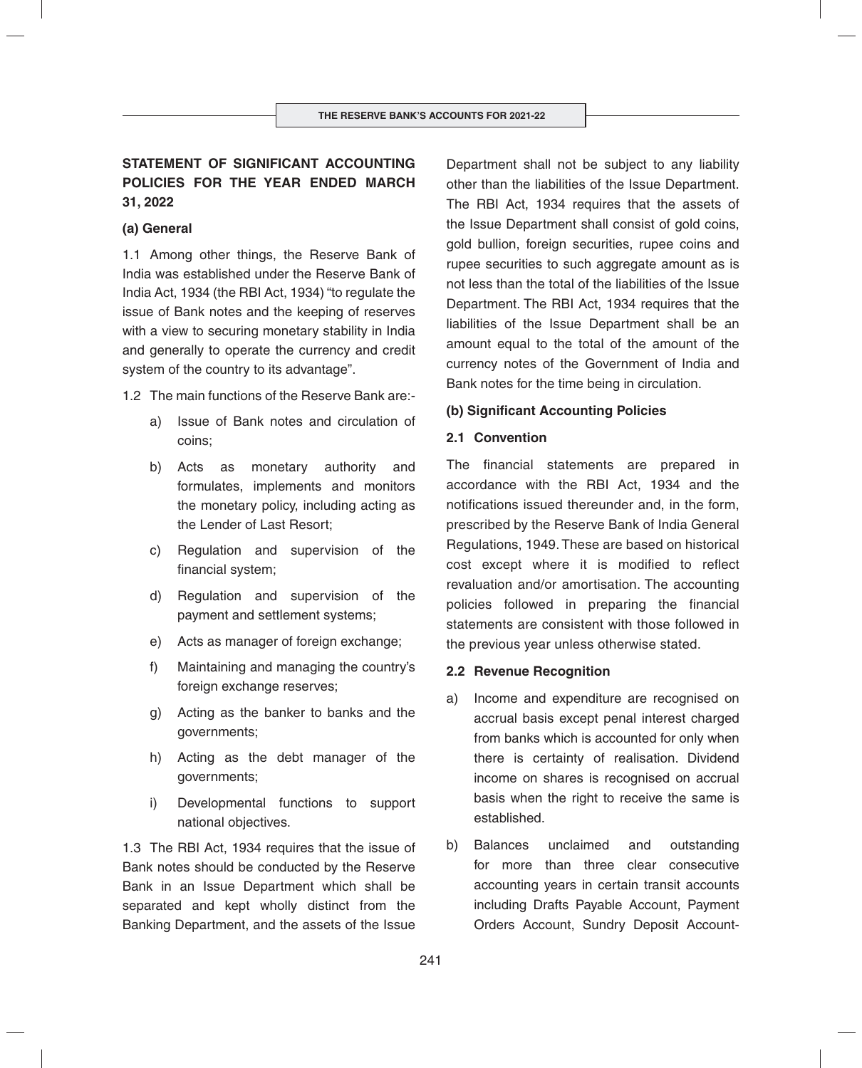# **STATEMENT OF SIGNIFICANT ACCOUNTING POLICIES FOR THE YEAR ENDED MARCH 31, 2022**

## **(a) General**

1.1 Among other things, the Reserve Bank of India was established under the Reserve Bank of India Act, 1934 (the RBI Act, 1934) "to regulate the issue of Bank notes and the keeping of reserves with a view to securing monetary stability in India and generally to operate the currency and credit system of the country to its advantage".

1.2 The main functions of the Reserve Bank are:-

- a) Issue of Bank notes and circulation of coins;
- b) Acts as monetary authority and formulates, implements and monitors the monetary policy, including acting as the Lender of Last Resort;
- c) Regulation and supervision of the financial system;
- d) Regulation and supervision of the payment and settlement systems;
- e) Acts as manager of foreign exchange;
- f) Maintaining and managing the country's foreign exchange reserves;
- g) Acting as the banker to banks and the governments;
- h) Acting as the debt manager of the governments;
- i) Developmental functions to support national objectives.

1.3 The RBI Act, 1934 requires that the issue of Bank notes should be conducted by the Reserve Bank in an Issue Department which shall be separated and kept wholly distinct from the Banking Department, and the assets of the Issue Department shall not be subject to any liability other than the liabilities of the Issue Department. The RBI Act, 1934 requires that the assets of the Issue Department shall consist of gold coins, gold bullion, foreign securities, rupee coins and rupee securities to such aggregate amount as is not less than the total of the liabilities of the Issue Department. The RBI Act, 1934 requires that the liabilities of the Issue Department shall be an amount equal to the total of the amount of the currency notes of the Government of India and Bank notes for the time being in circulation.

# **(b) Significant Accounting Policies**

## **2.1 Convention**

The financial statements are prepared in accordance with the RBI Act, 1934 and the notifications issued thereunder and, in the form, prescribed by the Reserve Bank of India General Regulations, 1949. These are based on historical cost except where it is modified to reflect revaluation and/or amortisation. The accounting policies followed in preparing the financial statements are consistent with those followed in the previous year unless otherwise stated.

#### **2.2 Revenue Recognition**

- a) Income and expenditure are recognised on accrual basis except penal interest charged from banks which is accounted for only when there is certainty of realisation. Dividend income on shares is recognised on accrual basis when the right to receive the same is established.
- b) Balances unclaimed and outstanding for more than three clear consecutive accounting years in certain transit accounts including Drafts Payable Account, Payment Orders Account, Sundry Deposit Account-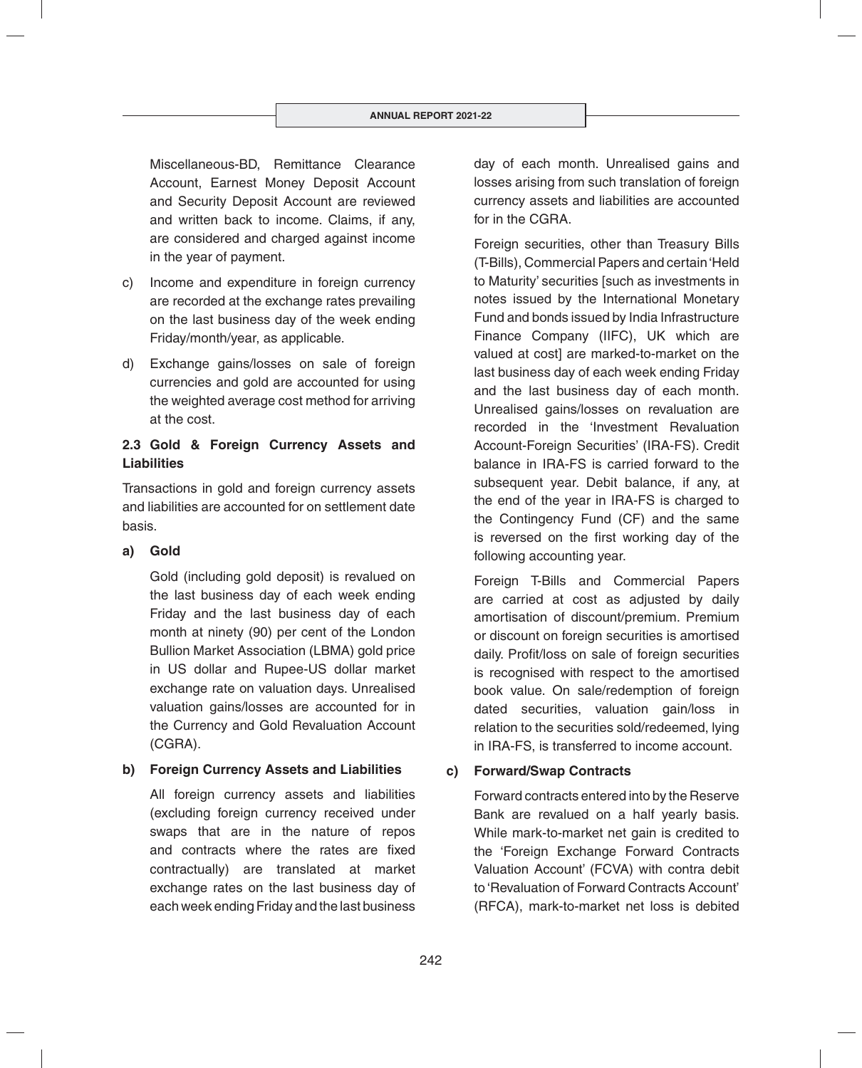Miscellaneous-BD, Remittance Clearance Account, Earnest Money Deposit Account and Security Deposit Account are reviewed and written back to income. Claims, if any, are considered and charged against income in the year of payment.

- c) Income and expenditure in foreign currency are recorded at the exchange rates prevailing on the last business day of the week ending Friday/month/year, as applicable.
- d) Exchange gains/losses on sale of foreign currencies and gold are accounted for using the weighted average cost method for arriving at the cost.

# **2.3 Gold & Foreign Currency Assets and Liabilities**

Transactions in gold and foreign currency assets and liabilities are accounted for on settlement date basis.

# **a) Gold**

Gold (including gold deposit) is revalued on the last business day of each week ending Friday and the last business day of each month at ninety (90) per cent of the London Bullion Market Association (LBMA) gold price in US dollar and Rupee-US dollar market exchange rate on valuation days. Unrealised valuation gains/losses are accounted for in the Currency and Gold Revaluation Account (CGRA).

# **b) Foreign Currency Assets and Liabilities**

All foreign currency assets and liabilities (excluding foreign currency received under swaps that are in the nature of repos and contracts where the rates are fixed contractually) are translated at market exchange rates on the last business day of each week ending Friday and the last business

day of each month. Unrealised gains and losses arising from such translation of foreign currency assets and liabilities are accounted for in the CGRA.

Foreign securities, other than Treasury Bills (T-Bills), Commercial Papers and certain 'Held to Maturity' securities [such as investments in notes issued by the International Monetary Fund and bonds issued by India Infrastructure Finance Company (IIFC), UK which are valued at costl are marked-to-market on the last business day of each week ending Friday and the last business day of each month. Unrealised gains/losses on revaluation are recorded in the 'Investment Revaluation Account-Foreign Securities' (IRA-FS). Credit balance in IRA-FS is carried forward to the subsequent year. Debit balance, if any, at the end of the year in IRA-FS is charged to the Contingency Fund (CF) and the same is reversed on the first working day of the following accounting year.

Foreign T-Bills and Commercial Papers are carried at cost as adjusted by daily amortisation of discount/premium. Premium or discount on foreign securities is amortised daily. Profit/loss on sale of foreign securities is recognised with respect to the amortised book value. On sale/redemption of foreign dated securities, valuation gain/loss in relation to the securities sold/redeemed, lying in IRA-FS, is transferred to income account.

# **c) Forward/Swap Contracts**

Forward contracts entered into by the Reserve Bank are revalued on a half yearly basis. While mark-to-market net gain is credited to the 'Foreign Exchange Forward Contracts Valuation Account' (FCVA) with contra debit to 'Revaluation of Forward Contracts Account' (RFCA), mark-to-market net loss is debited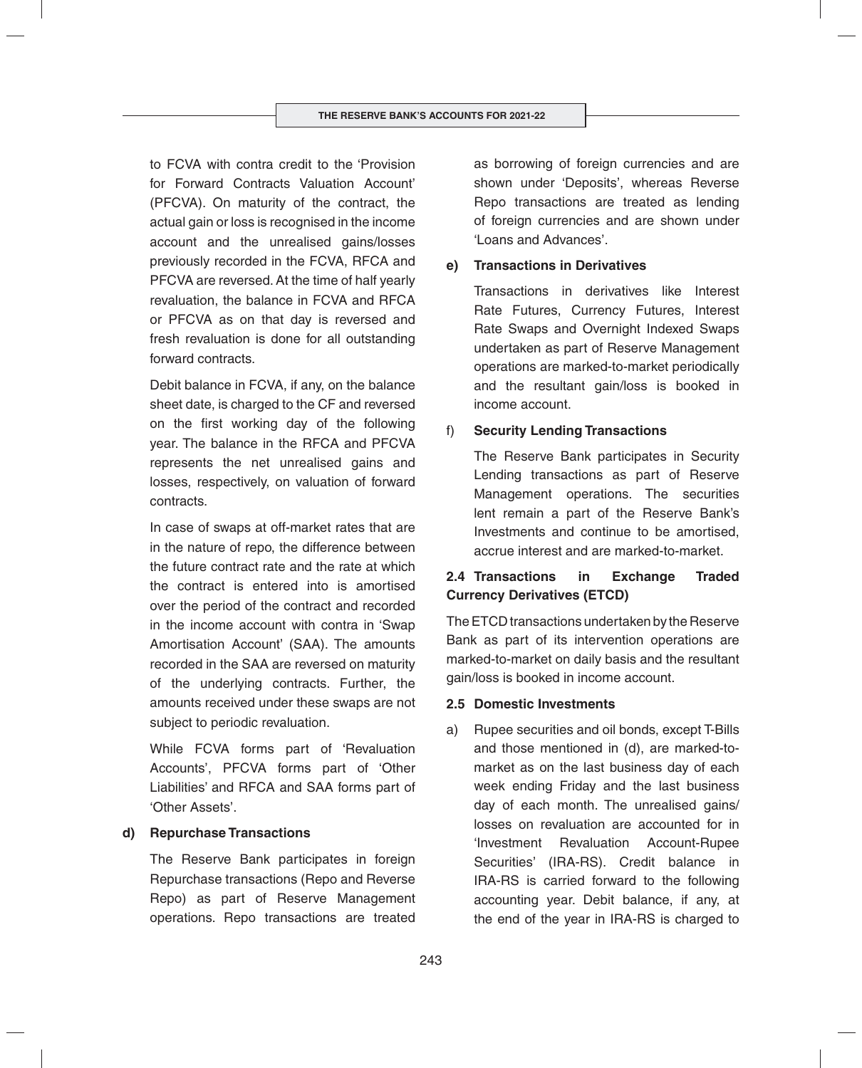to FCVA with contra credit to the 'Provision for Forward Contracts Valuation Account' (PFCVA). On maturity of the contract, the actual gain or loss is recognised in the income account and the unrealised gains/losses previously recorded in the FCVA, RFCA and PFCVA are reversed. At the time of half yearly revaluation, the balance in FCVA and RFCA or PFCVA as on that day is reversed and fresh revaluation is done for all outstanding forward contracts.

Debit balance in FCVA, if any, on the balance sheet date, is charged to the CF and reversed on the first working day of the following year. The balance in the RFCA and PFCVA represents the net unrealised gains and losses, respectively, on valuation of forward contracts.

In case of swaps at off-market rates that are in the nature of repo, the difference between the future contract rate and the rate at which the contract is entered into is amortised over the period of the contract and recorded in the income account with contra in 'Swap Amortisation Account' (SAA). The amounts recorded in the SAA are reversed on maturity of the underlying contracts. Further, the amounts received under these swaps are not subject to periodic revaluation.

While FCVA forms part of 'Revaluation Accounts', PFCVA forms part of 'Other Liabilities' and RFCA and SAA forms part of 'Other Assets'.

## **d) Repurchase Transactions**

The Reserve Bank participates in foreign Repurchase transactions (Repo and Reverse Repo) as part of Reserve Management operations. Repo transactions are treated

as borrowing of foreign currencies and are shown under 'Deposits', whereas Reverse Repo transactions are treated as lending of foreign currencies and are shown under 'Loans and Advances'.

# **e) Transactions in Derivatives**

Transactions in derivatives like Interest Rate Futures, Currency Futures, Interest Rate Swaps and Overnight Indexed Swaps undertaken as part of Reserve Management operations are marked-to-market periodically and the resultant gain/loss is booked in income account.

# f) **Security Lending Transactions**

The Reserve Bank participates in Security Lending transactions as part of Reserve Management operations. The securities lent remain a part of the Reserve Bank's Investments and continue to be amortised, accrue interest and are marked-to-market.

# **2.4 Transactions in Exchange Traded Currency Derivatives (ETCD)**

The ETCD transactions undertaken by the Reserve Bank as part of its intervention operations are marked-to-market on daily basis and the resultant gain/loss is booked in income account.

## **2.5 Domestic Investments**

a) Rupee securities and oil bonds, except T-Bills and those mentioned in (d), are marked-tomarket as on the last business day of each week ending Friday and the last business day of each month. The unrealised gains/ losses on revaluation are accounted for in 'Investment Revaluation Account-Rupee Securities' (IRA-RS). Credit balance in IRA-RS is carried forward to the following accounting year. Debit balance, if any, at the end of the year in IRA-RS is charged to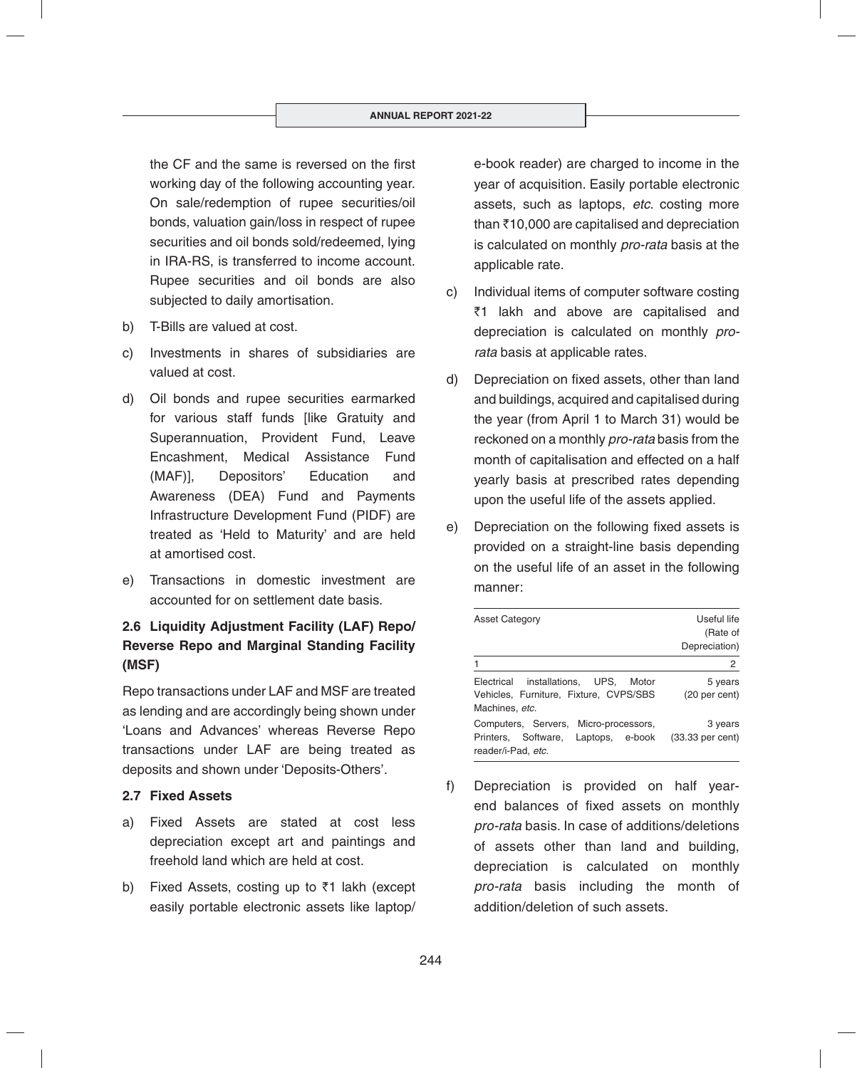the CF and the same is reversed on the first working day of the following accounting year. On sale/redemption of rupee securities/oil bonds, valuation gain/loss in respect of rupee securities and oil bonds sold/redeemed, lying in IRA-RS, is transferred to income account. Rupee securities and oil bonds are also subjected to daily amortisation.

- b) T-Bills are valued at cost.
- c) Investments in shares of subsidiaries are valued at cost.
- d) Oil bonds and rupee securities earmarked for various staff funds [like Gratuity and Superannuation, Provident Fund, Leave Encashment, Medical Assistance Fund (MAF)], Depositors' Education and Awareness (DEA) Fund and Payments Infrastructure Development Fund (PIDF) are treated as 'Held to Maturity' and are held at amortised cost.
- e) Transactions in domestic investment are accounted for on settlement date basis.

# **2.6 Liquidity Adjustment Facility (LAF) Repo/ Reverse Repo and Marginal Standing Facility (MSF)**

Repo transactions under LAF and MSF are treated as lending and are accordingly being shown under 'Loans and Advances' whereas Reverse Repo transactions under LAF are being treated as deposits and shown under 'Deposits-Others'.

## **2.7 Fixed Assets**

- a) Fixed Assets are stated at cost less depreciation except art and paintings and freehold land which are held at cost.
- b) Fixed Assets, costing up to  $\bar{z}$ 1 lakh (except easily portable electronic assets like laptop/

e-book reader) are charged to income in the year of acquisition. Easily portable electronic assets, such as laptops, *etc*. costing more than  $\bar{\tau}$ 10,000 are capitalised and depreciation is calculated on monthly *pro-rata* basis at the applicable rate.

- c) Individual items of computer software costing ₹1 lakh and above are capitalised and depreciation is calculated on monthly *prorata* basis at applicable rates.
- d) Depreciation on fixed assets, other than land and buildings, acquired and capitalised during the year (from April 1 to March 31) would be reckoned on a monthly *pro-rata* basis from the month of capitalisation and effected on a half yearly basis at prescribed rates depending upon the useful life of the assets applied.
- e) Depreciation on the following fixed assets is provided on a straight-line basis depending on the useful life of an asset in the following manner:

| <b>Asset Category</b>                                                                               | Useful life<br>(Rate of<br>Depreciation) |
|-----------------------------------------------------------------------------------------------------|------------------------------------------|
|                                                                                                     | 2                                        |
| installations, UPS, Motor<br>Electrical<br>Vehicles, Furniture, Fixture, CVPS/SBS<br>Machines, etc. | 5 years<br>(20 <sub>per</sub> cent)      |
| Computers, Servers, Micro-processors,<br>Printers, Software, Laptops, e-book<br>reader/i-Pad, etc.  | 3 years<br>$(33.33$ per cent)            |

f) Depreciation is provided on half yearend balances of fixed assets on monthly *pro-rata* basis. In case of additions/deletions of assets other than land and building, depreciation is calculated on monthly *pro-rata* basis including the month of addition/deletion of such assets.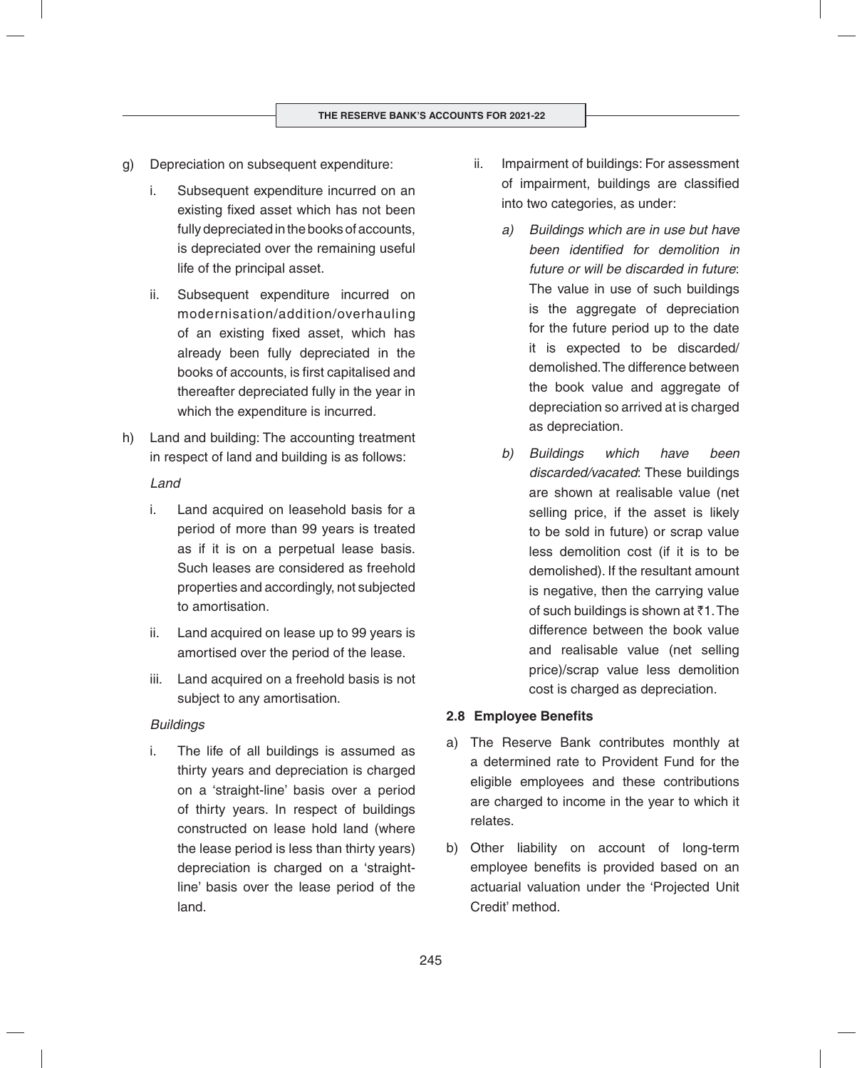- g) Depreciation on subsequent expenditure:
	- i. Subsequent expenditure incurred on an existing fixed asset which has not been fully depreciated in the books of accounts, is depreciated over the remaining useful life of the principal asset.
	- ii. Subsequent expenditure incurred on modernisation/addition/overhauling of an existing fixed asset, which has already been fully depreciated in the books of accounts, is first capitalised and thereafter depreciated fully in the year in which the expenditure is incurred.
- h) Land and building: The accounting treatment in respect of land and building is as follows:

## *Land*

- i. Land acquired on leasehold basis for a period of more than 99 years is treated as if it is on a perpetual lease basis. Such leases are considered as freehold properties and accordingly, not subjected to amortisation.
- ii. Land acquired on lease up to 99 years is amortised over the period of the lease.
- iii. Land acquired on a freehold basis is not subject to any amortisation.

## *Buildings*

i. The life of all buildings is assumed as thirty years and depreciation is charged on a 'straight-line' basis over a period of thirty years. In respect of buildings constructed on lease hold land (where the lease period is less than thirty years) depreciation is charged on a 'straightline' basis over the lease period of the land.

- ii. Impairment of buildings: For assessment of impairment, buildings are classified into two categories, as under:
	- *a) Buildings which are in use but have been identified for demolition in future or will be discarded in future*: The value in use of such buildings is the aggregate of depreciation for the future period up to the date it is expected to be discarded/ demolished. The difference between the book value and aggregate of depreciation so arrived at is charged as depreciation.
	- *b) Buildings which have been discarded/vacated*: These buildings are shown at realisable value (net selling price, if the asset is likely to be sold in future) or scrap value less demolition cost (if it is to be demolished). If the resultant amount is negative, then the carrying value of such buildings is shown at  $\bar{z}1$ . The difference between the book value and realisable value (net selling price)/scrap value less demolition cost is charged as depreciation.

## **2.8 Employee Benefits**

- a) The Reserve Bank contributes monthly at a determined rate to Provident Fund for the eligible employees and these contributions are charged to income in the year to which it relates.
- b) Other liability on account of long-term employee benefits is provided based on an actuarial valuation under the 'Projected Unit Credit' method.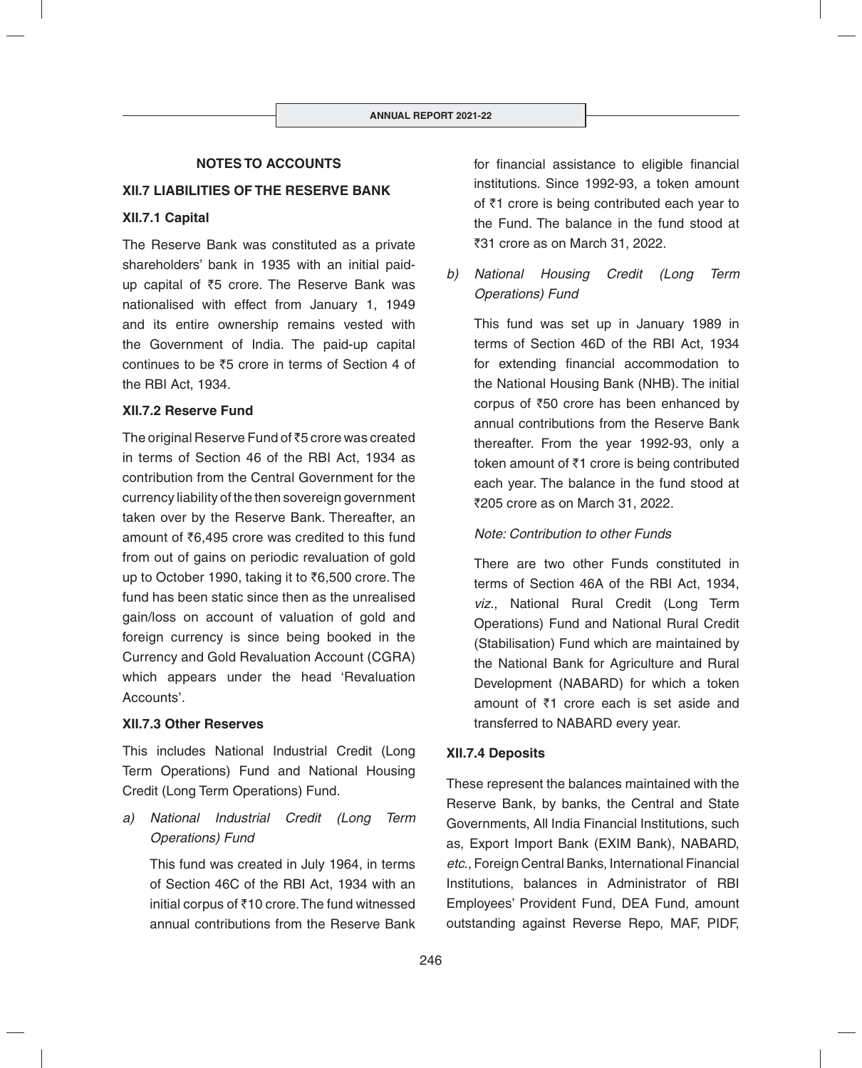# **NOTES TO ACCOUNTS**

# **XII.7 LIABILITIES OF THE RESERVE BANK**

# **XII.7.1 Capital**

The Reserve Bank was constituted as a private shareholders' bank in 1935 with an initial paidup capital of ₹5 crore. The Reserve Bank was nationalised with effect from January 1, 1949 and its entire ownership remains vested with the Government of India. The paid-up capital continues to be  $\overline{z}5$  crore in terms of Section 4 of the RBI Act, 1934.

# **XII.7.2 Reserve Fund**

The original Reserve Fund of  $\bar{z}5$  crore was created in terms of Section 46 of the RBI Act, 1934 as contribution from the Central Government for the currency liability of the then sovereign government taken over by the Reserve Bank. Thereafter, an amount of  $\bar{z}6,495$  crore was credited to this fund from out of gains on periodic revaluation of gold up to October 1990, taking it to  $\bar{\tau}$ 6,500 crore. The fund has been static since then as the unrealised gain/loss on account of valuation of gold and foreign currency is since being booked in the Currency and Gold Revaluation Account (CGRA) which appears under the head 'Revaluation Accounts'.

## **XII.7.3 Other Reserves**

This includes National Industrial Credit (Long Term Operations) Fund and National Housing Credit (Long Term Operations) Fund.

*a) National Industrial Credit (Long Term Operations) Fund*

 This fund was created in July 1964, in terms of Section 46C of the RBI Act, 1934 with an initial corpus of  $\bar{\tau}$ 10 crore. The fund witnessed annual contributions from the Reserve Bank for financial assistance to eligible financial institutions. Since 1992-93, a token amount of  $\bar{z}$ 1 crore is being contributed each year to the Fund. The balance in the fund stood at ₹31 crore as on March 31, 2022.

*b) National Housing Credit (Long Term Operations) Fund*

 This fund was set up in January 1989 in terms of Section 46D of the RBI Act, 1934 for extending financial accommodation to the National Housing Bank (NHB). The initial corpus of  $\overline{50}$  crore has been enhanced by annual contributions from the Reserve Bank thereafter. From the year 1992-93, only a token amount of  $\bar{\tau}$ 1 crore is being contributed each year. The balance in the fund stood at ₹205 crore as on March 31, 2022.

# *Note: Contribution to other Funds*

 There are two other Funds constituted in terms of Section 46A of the RBI Act, 1934, *viz*., National Rural Credit (Long Term Operations) Fund and National Rural Credit (Stabilisation) Fund which are maintained by the National Bank for Agriculture and Rural Development (NABARD) for which a token amount of  $\bar{z}$ 1 crore each is set aside and transferred to NABARD every year.

# **XII.7.4 Deposits**

These represent the balances maintained with the Reserve Bank, by banks, the Central and State Governments, All India Financial Institutions, such as, Export Import Bank (EXIM Bank), NABARD, *etc*., Foreign Central Banks, International Financial Institutions, balances in Administrator of RBI Employees' Provident Fund, DEA Fund, amount outstanding against Reverse Repo, MAF, PIDF,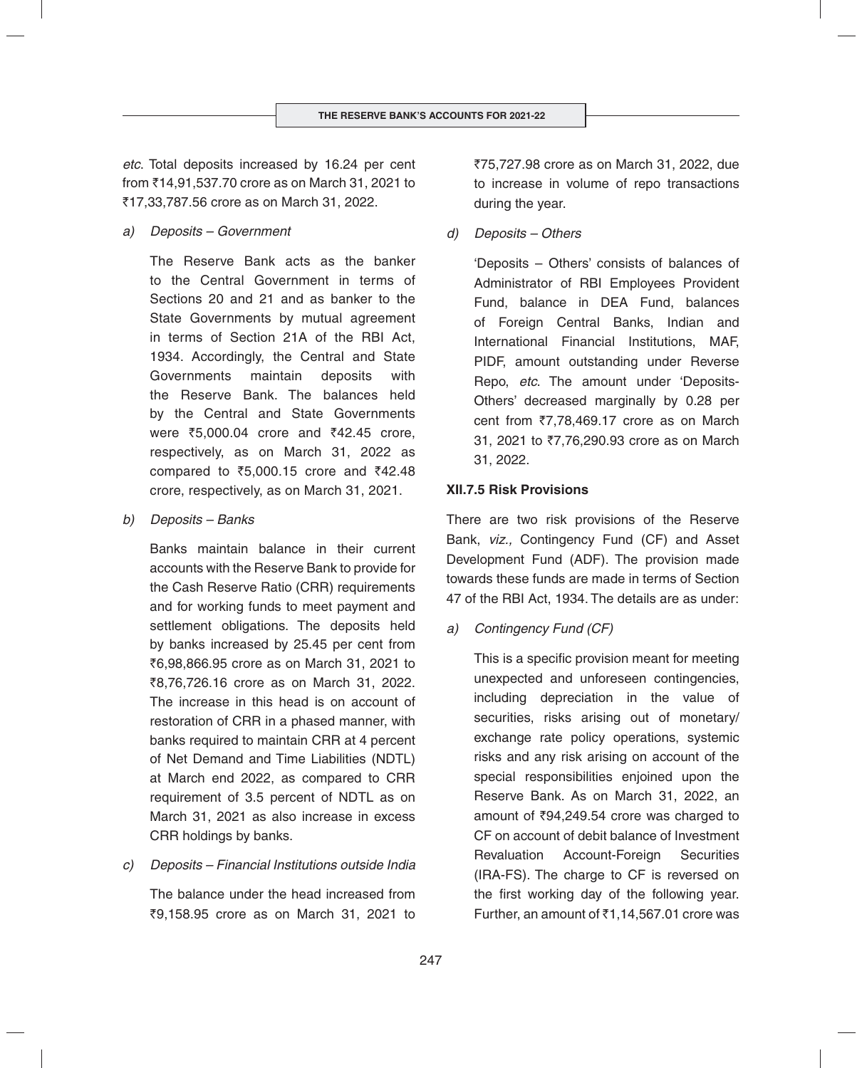*etc*. Total deposits increased by 16.24 per cent from `14,91,537.70 crore as on March 31, 2021 to `17,33,787.56 crore as on March 31, 2022.

*a) Deposits – Government*

 The Reserve Bank acts as the banker to the Central Government in terms of Sections 20 and 21 and as banker to the State Governments by mutual agreement in terms of Section 21A of the RBI Act, 1934. Accordingly, the Central and State Governments maintain deposits with the Reserve Bank. The balances held by the Central and State Governments were ₹5,000.04 crore and ₹42.45 crore, respectively, as on March 31, 2022 as compared to ₹5,000.15 crore and ₹42.48 crore, respectively, as on March 31, 2021.

*b) Deposits – Banks*

 Banks maintain balance in their current accounts with the Reserve Bank to provide for the Cash Reserve Ratio (CRR) requirements and for working funds to meet payment and settlement obligations. The deposits held by banks increased by 25.45 per cent from ₹6,98,866.95 crore as on March 31, 2021 to ₹8,76,726,16 crore as on March 31, 2022. The increase in this head is on account of restoration of CRR in a phased manner, with banks required to maintain CRR at 4 percent of Net Demand and Time Liabilities (NDTL) at March end 2022, as compared to CRR requirement of 3.5 percent of NDTL as on March 31, 2021 as also increase in excess CRR holdings by banks.

## *c) Deposits – Financial Institutions outside India*

 The balance under the head increased from `9,158.95 crore as on March 31, 2021 to

`75,727.98 crore as on March 31, 2022, due to increase in volume of repo transactions during the year.

*d) Deposits – Others* 

 'Deposits – Others' consists of balances of Administrator of RBI Employees Provident Fund, balance in DEA Fund, balances of Foreign Central Banks, Indian and International Financial Institutions, MAF, PIDF, amount outstanding under Reverse Repo, *etc*. The amount under 'Deposits-Others' decreased marginally by 0.28 per cent from  $\overline{77,78,469.17}$  crore as on March 31, 2021 to ₹7,76,290.93 crore as on March 31, 2022.

## **XII.7.5 Risk Provisions**

There are two risk provisions of the Reserve Bank, *viz.,* Contingency Fund (CF) and Asset Development Fund (ADF). The provision made towards these funds are made in terms of Section 47 of the RBI Act, 1934. The details are as under:

*a) Contingency Fund (CF)*

This is a specific provision meant for meeting unexpected and unforeseen contingencies, including depreciation in the value of securities, risks arising out of monetary/ exchange rate policy operations, systemic risks and any risk arising on account of the special responsibilities enjoined upon the Reserve Bank. As on March 31, 2022, an amount of  $\overline{3}94,249.54$  crore was charged to CF on account of debit balance of Investment Revaluation Account-Foreign Securities (IRA-FS). The charge to CF is reversed on the first working day of the following year. Further, an amount of  $\bar{c}$ 1,14,567.01 crore was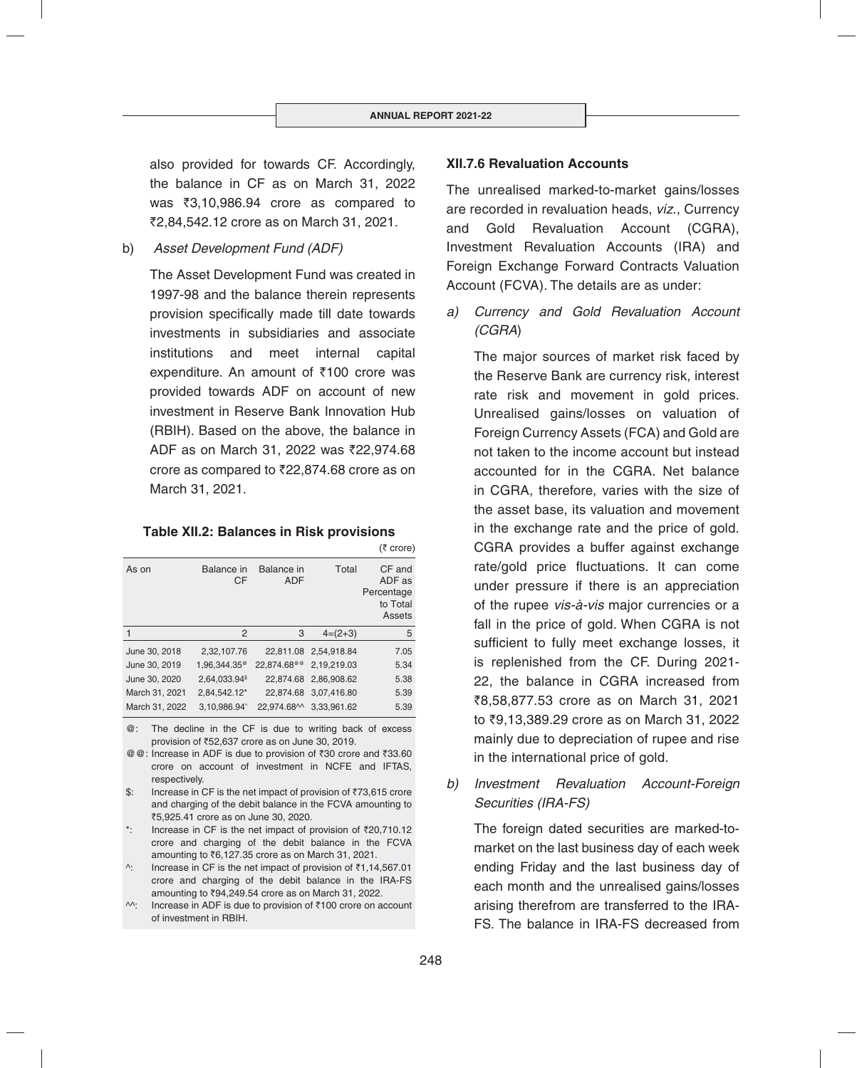also provided for towards CF. Accordingly, the balance in CF as on March 31, 2022 was  $\overline{33,10,986.94}$  crore as compared to `2,84,542.12 crore as on March 31, 2021.

b) *Asset Development Fund (ADF)* 

The Asset Development Fund was created in 1997-98 and the balance therein represents provision specifically made till date towards investments in subsidiaries and associate institutions and meet internal capital expenditure. An amount of  $\bar{\tau}$ 100 crore was provided towards ADF on account of new investment in Reserve Bank Innovation Hub (RBIH). Based on the above, the balance in ADF as on March 31, 2022 was ₹22,974.68 crore as compared to  $\overline{22,874.68}$  crore as on March 31, 2021.

**Table XII.2: Balances in Risk provisions**

|                |                           |                          |             | (₹ crore)                                            |
|----------------|---------------------------|--------------------------|-------------|------------------------------------------------------|
| As on          | Balance in<br>CF          | Balance in<br><b>ADF</b> | Total       | CF and<br>ADF as<br>Percentage<br>to Total<br>Assets |
|                | 2                         | 3                        | $4=(2+3)$   | 5                                                    |
| June 30, 2018  | 2,32,107.76               | 22.811.08                | 2,54,918.84 | 7.05                                                 |
| June 30, 2019  | 1.96.344.35 <sup>®</sup>  | 22.874.68 <sup>@@</sup>  | 2,19,219.03 | 5.34                                                 |
| June 30, 2020  | 2,64,033.94 <sup>\$</sup> | 22.874.68                | 2,86,908.62 | 5.38                                                 |
| March 31, 2021 | 2,84,542.12*              | 22.874.68                | 3,07,416.80 | 5.39                                                 |
| March 31, 2022 | 3,10,986.94 $^{\circ}$    | 22,974.68^^              | 3.33.961.62 | 5.39                                                 |

- @: The decline in the CF is due to writing back of excess provision of ₹52,637 crore as on June 30, 2019.
- @ @: Increase in ADF is due to provision of ₹30 crore and ₹33.60 crore on account of investment in NCFE and IFTAS, respectively.
- \$: Increase in CF is the net impact of provision of ₹73,615 crore and charging of the debit balance in the FCVA amounting to ₹5,925.41 crore as on June 30, 2020.
- Increase in CF is the net impact of provision of  $\bar{\tau}$ 20,710.12 crore and charging of the debit balance in the FCVA amounting to  $\overline{6}$ , 127.35 crore as on March 31, 2021.
- $\textdegree$ : Increase in CF is the net impact of provision of  $\bar{\tau}$ 1,14,567.01 crore and charging of the debit balance in the IRA-FS amounting to ₹94,249.54 crore as on March 31, 2022.
- $\wedge$ : Increase in ADF is due to provision of ₹100 crore on account of investment in RBIH.

# **XII.7.6 Revaluation Accounts**

The unrealised marked-to-market gains/losses are recorded in revaluation heads, *viz*., Currency and Gold Revaluation Account (CGRA), Investment Revaluation Accounts (IRA) and Foreign Exchange Forward Contracts Valuation Account (FCVA). The details are as under:

*a) Currency and Gold Revaluation Account (CGRA*)

 The major sources of market risk faced by the Reserve Bank are currency risk, interest rate risk and movement in gold prices. Unrealised gains/losses on valuation of Foreign Currency Assets (FCA) and Gold are not taken to the income account but instead accounted for in the CGRA. Net balance in CGRA, therefore, varies with the size of the asset base, its valuation and movement in the exchange rate and the price of gold. CGRA provides a buffer against exchange rate/gold price fluctuations. It can come under pressure if there is an appreciation of the rupee *vis-à-vis* major currencies or a fall in the price of gold. When CGRA is not sufficient to fully meet exchange losses, it is replenished from the CF. During 2021- 22, the balance in CGRA increased from ₹8,58,877.53 crore as on March 31, 2021 to ₹9,13,389.29 crore as on March 31, 2022 mainly due to depreciation of rupee and rise in the international price of gold.

*b) Investment Revaluation Account-Foreign Securities (IRA-FS)*

 The foreign dated securities are marked-tomarket on the last business day of each week ending Friday and the last business day of each month and the unrealised gains/losses arising therefrom are transferred to the IRA-FS. The balance in IRA-FS decreased from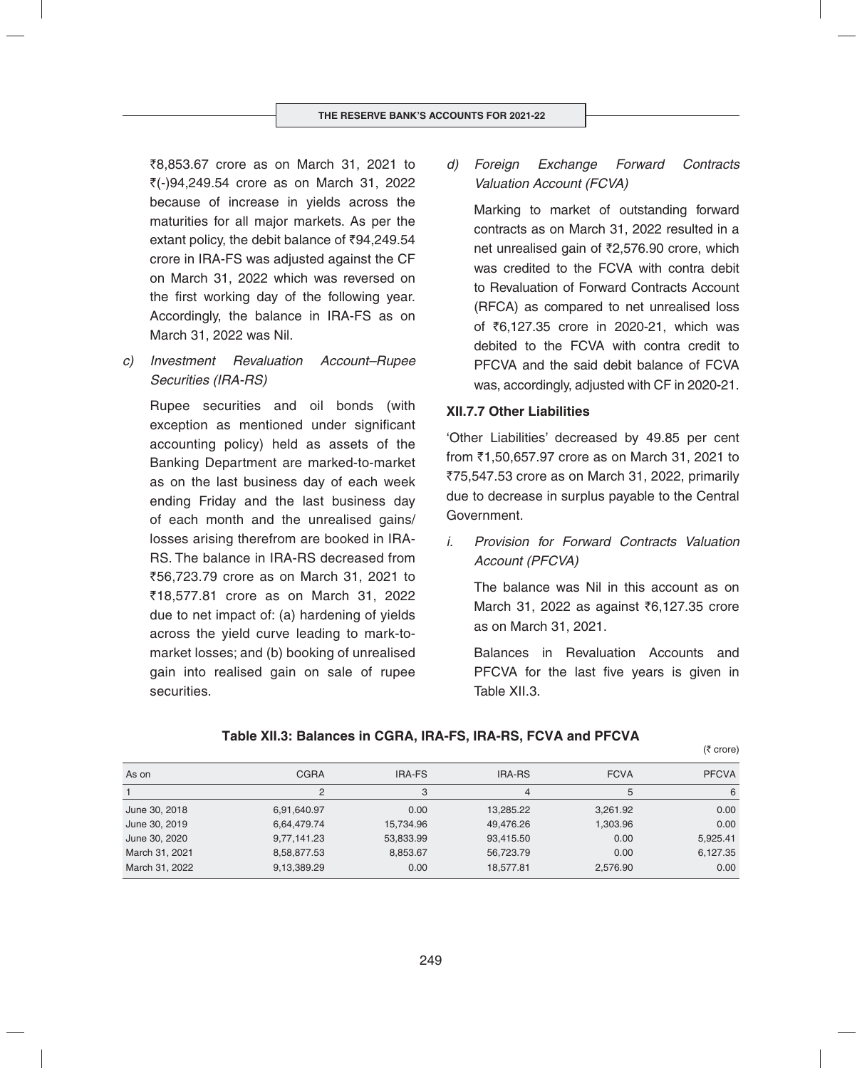₹8,853.67 crore as on March 31, 2021 to  $\zeta(-)94.249.54$  crore as on March 31, 2022 because of increase in yields across the maturities for all major markets. As per the extant policy, the debit balance of  $\bar{\nu}94,249.54$ crore in IRA-FS was adjusted against the CF on March 31, 2022 which was reversed on the first working day of the following year. Accordingly, the balance in IRA-FS as on March 31, 2022 was Nil.

*c) Investment Revaluation Account–Rupee Securities (IRA-RS)*

 Rupee securities and oil bonds (with exception as mentioned under significant accounting policy) held as assets of the Banking Department are marked-to-market as on the last business day of each week ending Friday and the last business day of each month and the unrealised gains/ losses arising therefrom are booked in IRA-RS. The balance in IRA-RS decreased from `56,723.79 crore as on March 31, 2021 to `18,577.81 crore as on March 31, 2022 due to net impact of: (a) hardening of yields across the yield curve leading to mark-tomarket losses; and (b) booking of unrealised gain into realised gain on sale of rupee securities.

*d) Foreign Exchange Forward Contracts Valuation Account (FCVA)*

 Marking to market of outstanding forward contracts as on March 31, 2022 resulted in a net unrealised gain of  $\bar{\zeta}$ 2.576.90 crore, which was credited to the FCVA with contra debit to Revaluation of Forward Contracts Account (RFCA) as compared to net unrealised loss of ₹6,127.35 crore in 2020-21, which was debited to the FCVA with contra credit to PFCVA and the said debit balance of FCVA was, accordingly, adjusted with CF in 2020-21.

#### **XII.7.7 Other Liabilities**

'Other Liabilities' decreased by 49.85 per cent from  $\bar{z}$ 1,50,657.97 crore as on March 31, 2021 to ₹75,547.53 crore as on March 31, 2022, primarily due to decrease in surplus payable to the Central Government.

*i. Provision for Forward Contracts Valuation Account (PFCVA)*

 The balance was Nil in this account as on March 31, 2022 as against ₹6,127.35 crore as on March 31, 2021.

 Balances in Revaluation Accounts and PFCVA for the last five years is given in Table XII.3.

 $(5$  crore)

#### **Table XII.3: Balances in CGRA, IRA-FS, IRA-RS, FCVA and PFCVA**

| As on          | <b>CGRA</b> | IRA-FS    | <b>IRA-RS</b> | <b>FCVA</b> | <b>PFCVA</b> |
|----------------|-------------|-----------|---------------|-------------|--------------|
|                | 2           | 3         |               | 5           | 6            |
| June 30, 2018  | 6,91,640.97 | 0.00      | 13,285.22     | 3,261.92    | 0.00         |
| June 30, 2019  | 6,64,479.74 | 15,734.96 | 49.476.26     | 1,303.96    | 0.00         |
| June 30, 2020  | 9,77,141.23 | 53,833.99 | 93,415.50     | 0.00        | 5,925.41     |
| March 31, 2021 | 8,58,877.53 | 8,853.67  | 56,723.79     | 0.00        | 6,127.35     |
| March 31, 2022 | 9,13,389.29 | 0.00      | 18.577.81     | 2,576.90    | 0.00         |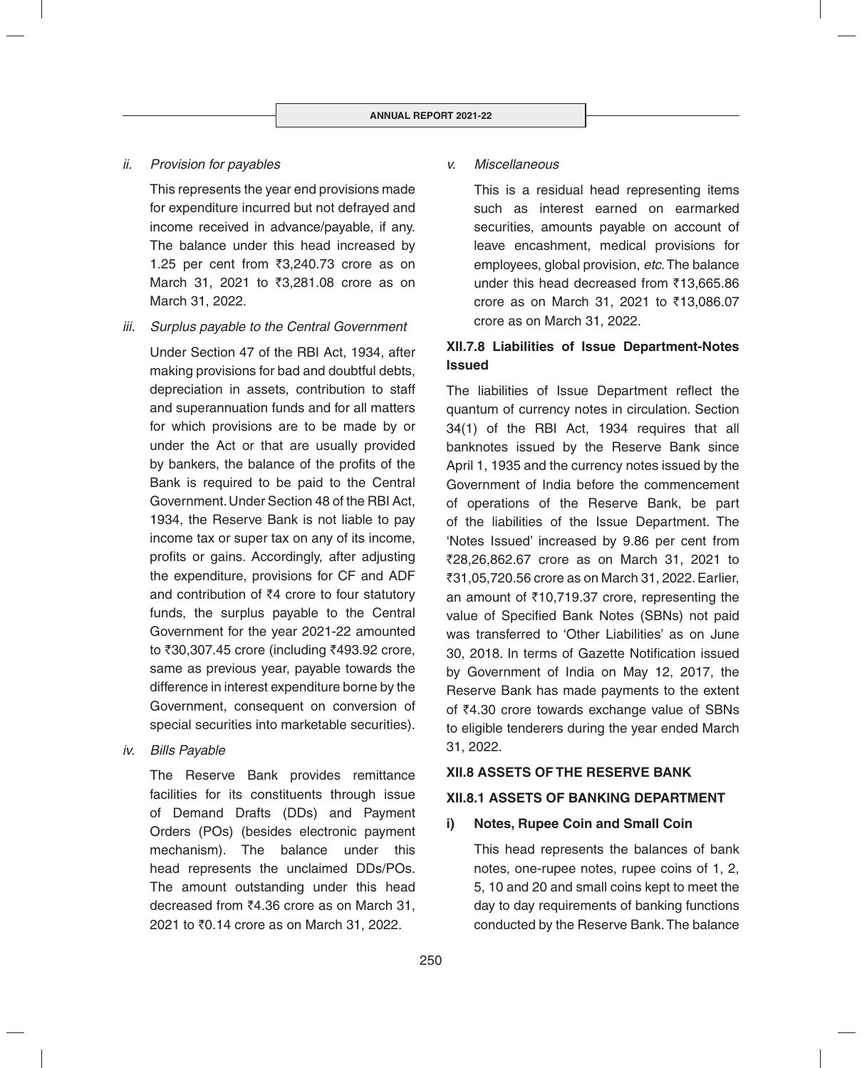## *ii. Provision for payables*

 This represents the year end provisions made for expenditure incurred but not defrayed and income received in advance/payable, if any. The balance under this head increased by 1.25 per cent from  $\overline{3}3,240.73$  crore as on March 31, 2021 to ₹3,281.08 crore as on March 31, 2022.

*iii. Surplus payable to the Central Government*

 Under Section 47 of the RBI Act, 1934, after making provisions for bad and doubtful debts, depreciation in assets, contribution to staff and superannuation funds and for all matters for which provisions are to be made by or under the Act or that are usually provided by bankers, the balance of the profits of the Bank is required to be paid to the Central Government. Under Section 48 of the RBI Act, 1934, the Reserve Bank is not liable to pay income tax or super tax on any of its income, profits or gains. Accordingly, after adjusting the expenditure, provisions for CF and ADF and contribution of  $\bar{z}4$  crore to four statutory funds, the surplus payable to the Central Government for the year 2021-22 amounted to ₹30,307.45 crore (including ₹493.92 crore, same as previous year, payable towards the difference in interest expenditure borne by the Government, consequent on conversion of special securities into marketable securities).

*iv. Bills Payable*

 The Reserve Bank provides remittance facilities for its constituents through issue of Demand Drafts (DDs) and Payment Orders (POs) (besides electronic payment mechanism). The balance under this head represents the unclaimed DDs/POs. The amount outstanding under this head decreased from  $\overline{6}4.36$  crore as on March 31, 2021 to ₹0.14 crore as on March 31, 2022.

## *v. Miscellaneous*

 This is a residual head representing items such as interest earned on earmarked securities, amounts payable on account of leave encashment, medical provisions for employees, global provision, *etc*. The balance under this head decreased from  $\bar{\tau}$ 13,665.86 crore as on March 31, 2021 to  $\bar{\tau}$ 13,086.07 crore as on March 31, 2022.

# **XII.7.8 Liabilities of Issue Department-Notes Issued**

The liabilities of Issue Department reflect the quantum of currency notes in circulation. Section 34(1) of the RBI Act, 1934 requires that all banknotes issued by the Reserve Bank since April 1, 1935 and the currency notes issued by the Government of India before the commencement of operations of the Reserve Bank, be part of the liabilities of the Issue Department. The 'Notes Issued' increased by 9.86 per cent from `28,26,862.67 crore as on March 31, 2021 to `31,05,720.56 crore as on March 31, 2022. Earlier, an amount of  $\bar{\tau}$ 10,719.37 crore, representing the value of Specified Bank Notes (SBNs) not paid was transferred to 'Other Liabilities' as on June 30, 2018. In terms of Gazette Notification issued by Government of India on May 12, 2017, the Reserve Bank has made payments to the extent of  $\bar{z}4.30$  crore towards exchange value of SBNs to eligible tenderers during the year ended March 31, 2022.

## **XII.8 ASSETS OF THE RESERVE BANK**

## **XII.8.1 ASSETS OF BANKING DEPARTMENT**

## **i) Notes, Rupee Coin and Small Coin**

This head represents the balances of bank notes, one-rupee notes, rupee coins of 1, 2, 5, 10 and 20 and small coins kept to meet the day to day requirements of banking functions conducted by the Reserve Bank. The balance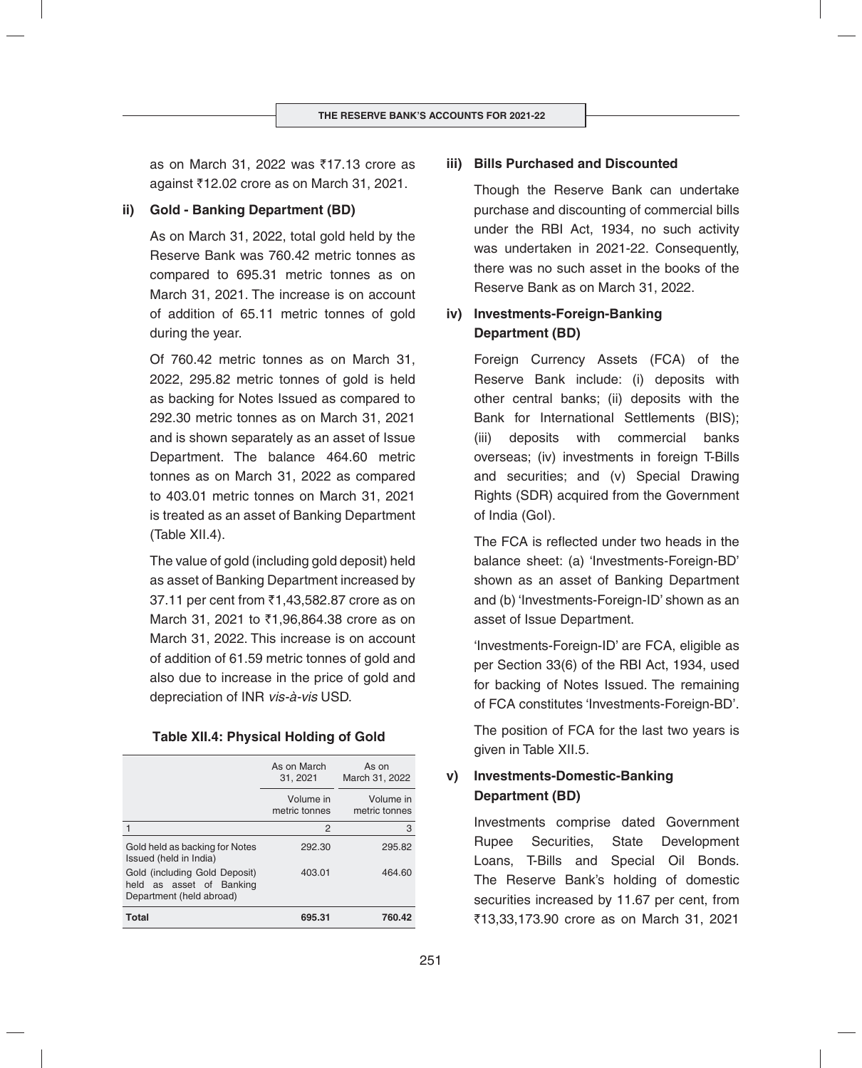as on March 31, 2022 was  $\overline{517.13}$  crore as against `12.02 crore as on March 31, 2021.

## **ii) Gold - Banking Department (BD)**

As on March 31, 2022, total gold held by the Reserve Bank was 760.42 metric tonnes as compared to 695.31 metric tonnes as on March 31, 2021. The increase is on account of addition of 65.11 metric tonnes of gold during the year.

Of 760.42 metric tonnes as on March 31, 2022, 295.82 metric tonnes of gold is held as backing for Notes Issued as compared to 292.30 metric tonnes as on March 31, 2021 and is shown separately as an asset of Issue Department. The balance 464.60 metric tonnes as on March 31, 2022 as compared to 403.01 metric tonnes on March 31, 2021 is treated as an asset of Banking Department (Table XII.4).

The value of gold (including gold deposit) held as asset of Banking Department increased by 37.11 per cent from ₹1,43,582.87 crore as on March 31, 2021 to ₹1,96,864.38 crore as on March 31, 2022. This increase is on account of addition of 61.59 metric tonnes of gold and also due to increase in the price of gold and depreciation of INR *vis-à-vis* USD.

#### **Table XII.4: Physical Holding of Gold**

|                                                                                       | As on March<br>31, 2021    | As on<br>March 31, 2022    |
|---------------------------------------------------------------------------------------|----------------------------|----------------------------|
|                                                                                       | Volume in<br>metric tonnes | Volume in<br>metric tonnes |
|                                                                                       | 2                          | З                          |
| Gold held as backing for Notes<br>Issued (held in India)                              | 292.30                     | 295.82                     |
| Gold (including Gold Deposit)<br>held as asset of Banking<br>Department (held abroad) | 403.01                     | 464.60                     |
| <b>Total</b>                                                                          | 695.31                     | 760.42                     |

## **iii) Bills Purchased and Discounted**

Though the Reserve Bank can undertake purchase and discounting of commercial bills under the RBI Act, 1934, no such activity was undertaken in 2021-22. Consequently, there was no such asset in the books of the Reserve Bank as on March 31, 2022.

# **iv) Investments-Foreign-Banking Department (BD)**

Foreign Currency Assets (FCA) of the Reserve Bank include: (i) deposits with other central banks; (ii) deposits with the Bank for International Settlements (BIS); (iii) deposits with commercial banks overseas; (iv) investments in foreign T-Bills and securities; and (v) Special Drawing Rights (SDR) acquired from the Government of India (GoI).

The FCA is reflected under two heads in the balance sheet: (a) 'Investments-Foreign-BD' shown as an asset of Banking Department and (b) 'Investments-Foreign-ID' shown as an asset of Issue Department.

'Investments-Foreign-ID' are FCA, eligible as per Section 33(6) of the RBI Act, 1934, used for backing of Notes Issued. The remaining of FCA constitutes 'Investments-Foreign-BD'.

The position of FCA for the last two years is given in Table XII.5.

# **v) Investments-Domestic-Banking Department (BD)**

Investments comprise dated Government Rupee Securities, State Development Loans, T-Bills and Special Oil Bonds. The Reserve Bank's holding of domestic securities increased by 11.67 per cent, from `13,33,173.90 crore as on March 31, 2021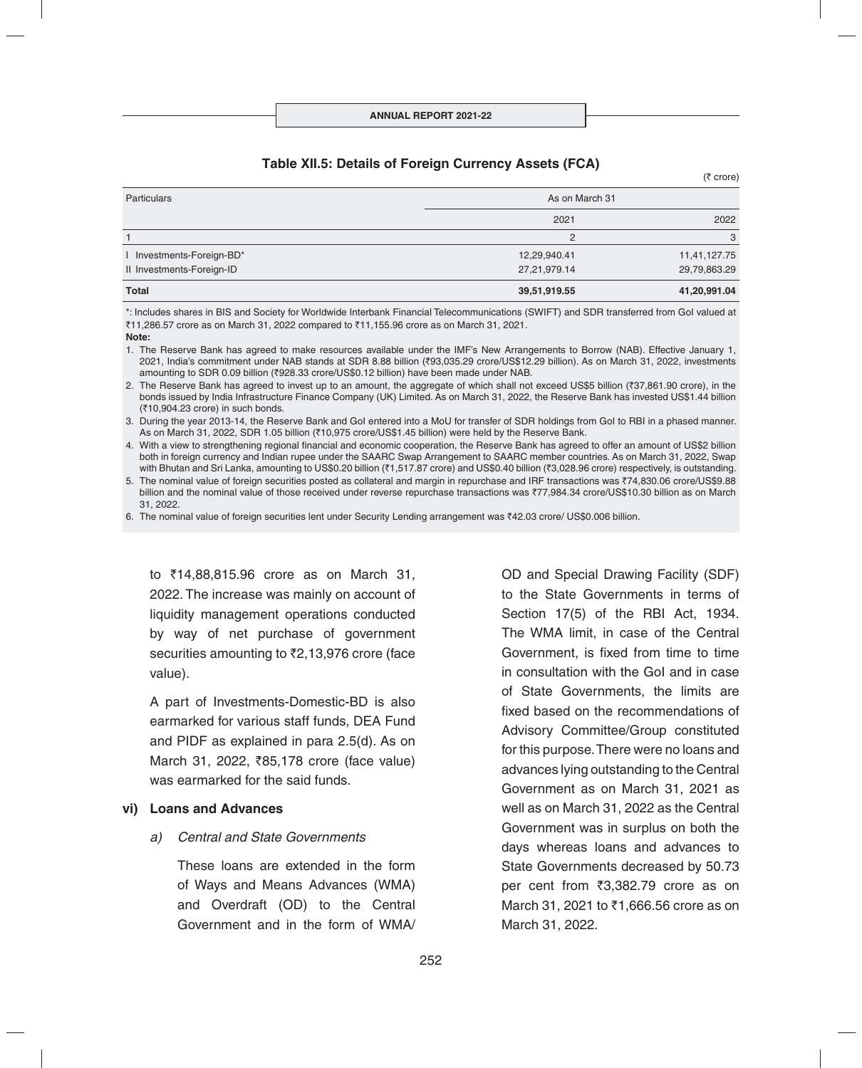## **Table XII.5: Details of Foreign Currency Assets (FCA)**

| Particulars               | As on March 31 |              |
|---------------------------|----------------|--------------|
|                           | 2021           | 2022         |
|                           | 2              | 3            |
| Investments-Foreign-BD*   | 12,29,940.41   | 11,41,127.75 |
| II Investments-Foreign-ID | 27,21,979.14   | 29,79,863.29 |
| <b>Total</b>              | 39,51,919.55   | 41,20,991.04 |

\*: Includes shares in BIS and Society for Worldwide Interbank Financial Telecommunications (SWIFT) and SDR transferred from GoI valued at  $711,286.57$  crore as on March 31, 2022 compared to  $71,155.96$  crore as on March 31, 2021.

- **Note:**
- 1. The Reserve Bank has agreed to make resources available under the IMF's New Arrangements to Borrow (NAB). Effective January 1, 2021, India's commitment under NAB stands at SDR 8.88 billion (`93,035.29 crore/US\$12.29 billion). As on March 31, 2022, investments amounting to SDR 0.09 billion (₹928.33 crore/US\$0.12 billion) have been made under NAB.
- 2. The Reserve Bank has agreed to invest up to an amount, the aggregate of which shall not exceed US\$5 billion (₹37,861.90 crore), in the bonds issued by India Infrastructure Finance Company (UK) Limited. As on March 31, 2022, the Reserve Bank has invested US\$1.44 billion (`10,904.23 crore) in such bonds.

3. During the year 2013-14, the Reserve Bank and GoI entered into a MoU for transfer of SDR holdings from GoI to RBI in a phased manner. As on March 31, 2022, SDR 1.05 billion (₹10,975 crore/US\$1.45 billion) were held by the Reserve Bank.

4. With a view to strengthening regional financial and economic cooperation, the Reserve Bank has agreed to offer an amount of US\$2 billion both in foreign currency and Indian rupee under the SAARC Swap Arrangement to SAARC member countries. As on March 31, 2022, Swap with Bhutan and Sri Lanka, amounting to US\$0.20 billion (₹1,517.87 crore) and US\$0.40 billion (₹3,028.96 crore) respectively, is outstanding.

5. The nominal value of foreign securities posted as collateral and margin in repurchase and IRF transactions was ₹74,830.06 crore/US\$9.88 billion and the nominal value of those received under reverse repurchase transactions was `77,984.34 crore/US\$10.30 billion as on March 31, 2022.

6. The nominal value of foreign securities lent under Security Lending arrangement was `42.03 crore/ US\$0.006 billion.

to ₹14,88,815.96 crore as on March 31, 2022. The increase was mainly on account of liquidity management operations conducted by way of net purchase of government securities amounting to  $\overline{22,13,976}$  crore (face value).

A part of Investments-Domestic-BD is also earmarked for various staff funds, DEA Fund and PIDF as explained in para  $2.5(d)$ . As on March 31, 2022, `85,178 crore (face value) was earmarked for the said funds.

#### **vi) Loans and Advances**

## *a) Central and State Governments*

These loans are extended in the form of Ways and Means Advances (WMA) and Overdraft (OD) to the Central Government and in the form of WMA/ OD and Special Drawing Facility (SDF) to the State Governments in terms of Section 17(5) of the RBI Act, 1934. The WMA limit, in case of the Central Government, is fixed from time to time in consultation with the GoI and in case of State Governments, the limits are fixed based on the recommendations of Advisory Committee/Group constituted for this purpose. There were no loans and advances lying outstanding to the Central Government as on March 31, 2021 as well as on March 31, 2022 as the Central Government was in surplus on both the days whereas loans and advances to State Governments decreased by 50.73 per cent from ₹3,382.79 crore as on March 31, 2021 to ₹1,666.56 crore as on March 31, 2022.

 $(5$  crore)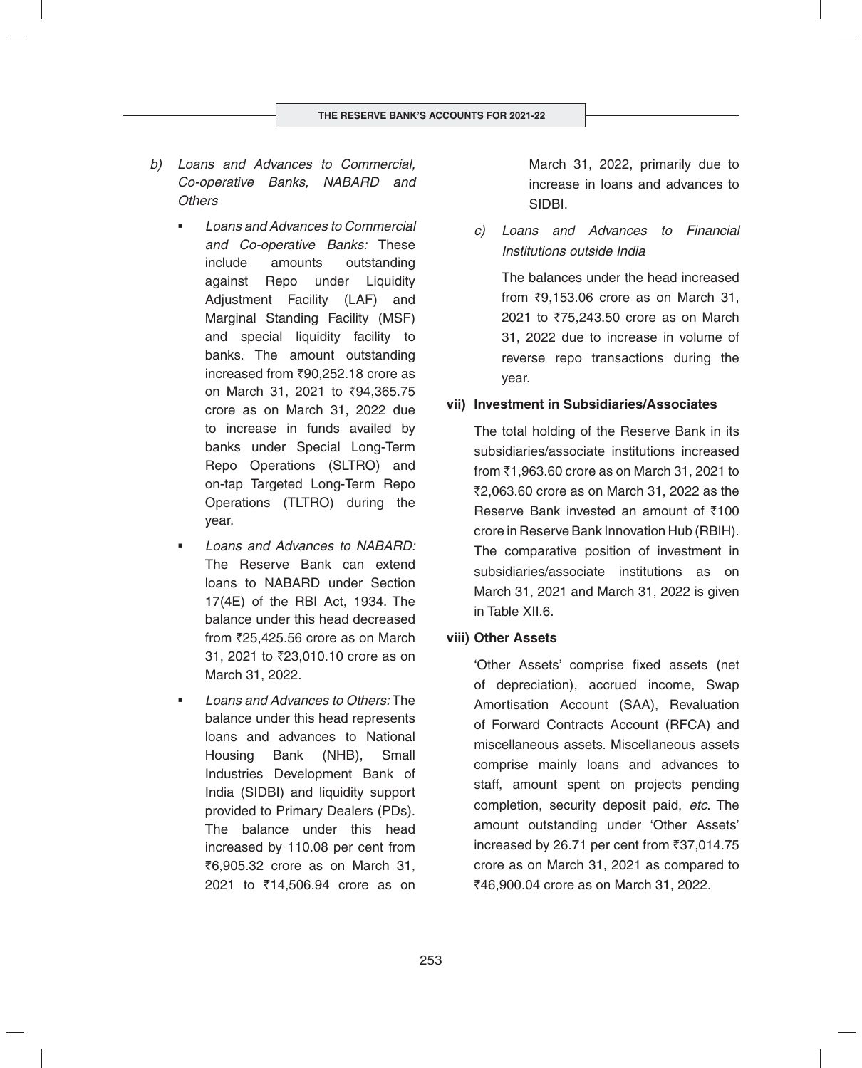- *b) Loans and Advances to Commercial, Co-operative Banks, NABARD and Others* 
	- *Loans and Advances to Commercial and Co-operative Banks:* These include amounts outstanding against Repo under Liquidity Adjustment Facility (LAF) and Marginal Standing Facility (MSF) and special liquidity facility to banks. The amount outstanding increased from  $\overline{390,252.18}$  crore as on March 31, 2021 to ₹94,365.75 crore as on March 31, 2022 due to increase in funds availed by banks under Special Long-Term Repo Operations (SLTRO) and on-tap Targeted Long-Term Repo Operations (TLTRO) during the year.
	- *Loans and Advances to NABARD:* The Reserve Bank can extend loans to NABARD under Section 17(4E) of the RBI Act, 1934. The balance under this head decreased from  $\overline{2}25,425.56$  crore as on March 31, 2021 to ₹23,010.10 crore as on March 31, 2022.
	- *Loans and Advances to Others:* The balance under this head represents loans and advances to National Housing Bank (NHB), Small Industries Development Bank of India (SIDBI) and liquidity support provided to Primary Dealers (PDs). The balance under this head increased by 110.08 per cent from ₹6,905.32 crore as on March 31, 2021 to ₹14,506.94 crore as on

March 31, 2022, primarily due to increase in loans and advances to SIDBI.

*c) Loans and Advances to Financial Institutions outside India*

 The balances under the head increased from  $\overline{3}9,153.06$  crore as on March 31, 2021 to ₹75,243.50 crore as on March 31, 2022 due to increase in volume of reverse repo transactions during the year.

## **vii) Investment in Subsidiaries/Associates**

The total holding of the Reserve Bank in its subsidiaries/associate institutions increased from  $\bar{c}$ 1,963.60 crore as on March 31, 2021 to  $72,063.60$  crore as on March 31, 2022 as the Reserve Bank invested an amount of  $\bar{z}$ 100 crore in Reserve Bank Innovation Hub (RBIH). The comparative position of investment in subsidiaries/associate institutions as on March 31, 2021 and March 31, 2022 is given in Table XII.6.

## **viii) Other Assets**

'Other Assets' comprise fixed assets (net of depreciation), accrued income, Swap Amortisation Account (SAA), Revaluation of Forward Contracts Account (RFCA) and miscellaneous assets. Miscellaneous assets comprise mainly loans and advances to staff, amount spent on projects pending completion, security deposit paid, *etc*. The amount outstanding under 'Other Assets' increased by 26.71 per cent from ₹37,014.75 crore as on March 31, 2021 as compared to `46,900.04 crore as on March 31, 2022.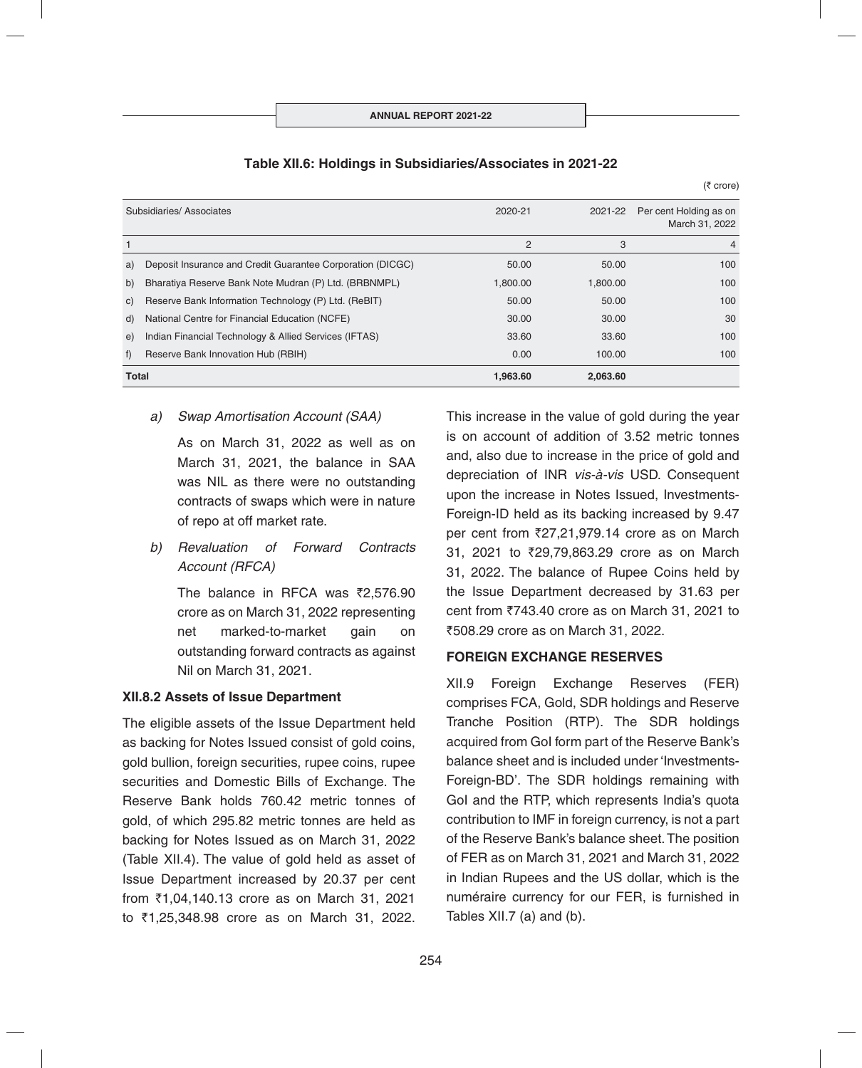|    | <b>Total</b>                                               | 1.963.60 | 2.063.60 |                                          |
|----|------------------------------------------------------------|----------|----------|------------------------------------------|
| f  | Reserve Bank Innovation Hub (RBIH)                         | 0.00     | 100.00   | 100                                      |
| e) | Indian Financial Technology & Allied Services (IFTAS)      | 33.60    | 33.60    | 100                                      |
| d) | National Centre for Financial Education (NCFE)             | 30.00    | 30.00    | 30                                       |
| C) | Reserve Bank Information Technology (P) Ltd. (ReBIT)       | 50.00    | 50.00    | 100                                      |
| b) | Bharatiya Reserve Bank Note Mudran (P) Ltd. (BRBNMPL)      | 1,800.00 | 1,800.00 | 100                                      |
| a) | Deposit Insurance and Credit Guarantee Corporation (DICGC) | 50.00    | 50.00    | 100                                      |
|    |                                                            | 2        | 3        | 4                                        |
|    | Subsidiaries/Associates                                    | 2020-21  | 2021-22  | Per cent Holding as on<br>March 31, 2022 |
|    |                                                            |          |          |                                          |

#### **Table XII.6: Holdings in Subsidiaries/Associates in 2021-22**

#### *a) Swap Amortisation Account (SAA)*

As on March 31, 2022 as well as on March 31, 2021, the balance in SAA was NIL as there were no outstanding contracts of swaps which were in nature of repo at off market rate.

*b) Revaluation of Forward Contracts Account (RFCA)*

> The balance in RFCA was  $\bar{z}2,576.90$ crore as on March 31, 2022 representing net marked-to-market gain on outstanding forward contracts as against Nil on March 31, 2021.

## **XII.8.2 Assets of Issue Department**

The eligible assets of the Issue Department held as backing for Notes Issued consist of gold coins, gold bullion, foreign securities, rupee coins, rupee securities and Domestic Bills of Exchange. The Reserve Bank holds 760.42 metric tonnes of gold, of which 295.82 metric tonnes are held as backing for Notes Issued as on March 31, 2022 (Table XII.4). The value of gold held as asset of Issue Department increased by 20.37 per cent from ₹1,04,140.13 crore as on March 31, 2021 to ₹1,25,348.98 crore as on March 31, 2022.

This increase in the value of gold during the year is on account of addition of 3.52 metric tonnes and, also due to increase in the price of gold and depreciation of INR *vis-à-vis* USD. Consequent upon the increase in Notes Issued, Investments-Foreign-ID held as its backing increased by 9.47 per cent from  $\overline{2}27,21,979.14$  crore as on March 31, 2021 to ₹29,79,863.29 crore as on March 31, 2022. The balance of Rupee Coins held by the Issue Department decreased by 31.63 per cent from  $\overline{5743.40}$  crore as on March 31, 2021 to `508.29 crore as on March 31, 2022.

 $(5$  crore)

## **FOREIGN EXCHANGE RESERVES**

XII.9 Foreign Exchange Reserves (FER) comprises FCA, Gold, SDR holdings and Reserve Tranche Position (RTP). The SDR holdings acquired from GoI form part of the Reserve Bank's balance sheet and is included under 'Investments-Foreign-BD'. The SDR holdings remaining with GoI and the RTP, which represents India's quota contribution to IMF in foreign currency, is not a part of the Reserve Bank's balance sheet. The position of FER as on March 31, 2021 and March 31, 2022 in Indian Rupees and the US dollar, which is the numéraire currency for our FER, is furnished in Tables XII.7 (a) and (b).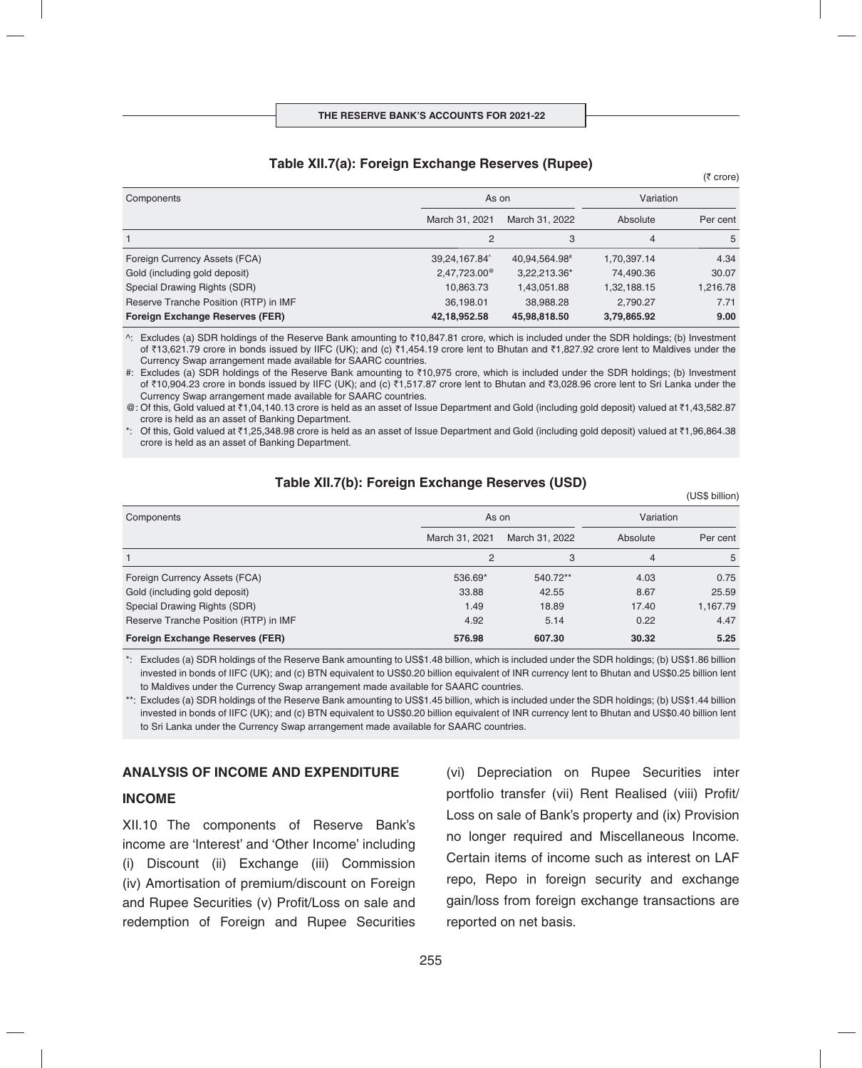#### **Table XII.7(a): Foreign Exchange Reserves (Rupee)**

| Components                             | As on                 |                | Variation   |          |
|----------------------------------------|-----------------------|----------------|-------------|----------|
|                                        | March 31, 2021        | March 31, 2022 | Absolute    | Per cent |
|                                        | 2                     | 3              | 4           | 5        |
| Foreign Currency Assets (FCA)          | 39,24,167.84          | 40,94,564.98#  | 1,70,397.14 | 4.34     |
| Gold (including gold deposit)          | $2,47,723.00^{\circ}$ | 3,22,213.36*   | 74,490.36   | 30.07    |
| Special Drawing Rights (SDR)           | 10,863.73             | 1,43,051.88    | 1,32,188.15 | 1,216.78 |
| Reserve Tranche Position (RTP) in IMF  | 36,198.01             | 38,988.28      | 2,790.27    | 7.71     |
| <b>Foreign Exchange Reserves (FER)</b> | 42,18,952.58          | 45,98,818.50   | 3,79,865.92 | 9.00     |

^: Excludes (a) SDR holdings of the Reserve Bank amounting to `10,847.81 crore, which is included under the SDR holdings; (b) Investment of ₹13,621.79 crore in bonds issued by IIFC (UK); and (c) ₹1,454.19 crore lent to Bhutan and ₹1,827.92 crore lent to Maldives under the Currency Swap arrangement made available for SAARC countries.

#: Excludes (a) SDR holdings of the Reserve Bank amounting to ₹10,975 crore, which is included under the SDR holdings; (b) Investment of ₹10,904.23 crore in bonds issued by IIFC (UK); and (c) ₹1,517.87 crore lent to Bhutan and ₹3,028.96 crore lent to Sri Lanka under the Currency Swap arrangement made available for SAARC countries.

@: Of this, Gold valued at ₹1,04,140.13 crore is held as an asset of Issue Department and Gold (including gold deposit) valued at ₹1,43,582.87 crore is held as an asset of Banking Department.

\*: Of this, Gold valued at  $\bar{\tau}1.25.348.98$  crore is held as an asset of Issue Department and Gold (including gold deposit) valued at  $\bar{\tau}1.96.864.38$ crore is held as an asset of Banking Department.

## **Table XII.7(b): Foreign Exchange Reserves (USD)**

(US\$ billion)

 $(5$  crore)

| Components                             | As on          |                | Variation |          |
|----------------------------------------|----------------|----------------|-----------|----------|
|                                        | March 31, 2021 | March 31, 2022 | Absolute  | Per cent |
|                                        | $\overline{2}$ | 3              | 4         | 5        |
| Foreign Currency Assets (FCA)          | 536.69*        | 540.72**       | 4.03      | 0.75     |
| Gold (including gold deposit)          | 33.88          | 42.55          | 8.67      | 25.59    |
| Special Drawing Rights (SDR)           | 1.49           | 18.89          | 17.40     | 1,167.79 |
| Reserve Tranche Position (RTP) in IMF  | 4.92           | 5.14           | 0.22      | 4.47     |
| <b>Foreign Exchange Reserves (FER)</b> | 576.98         | 607.30         | 30.32     | 5.25     |

\*: Excludes (a) SDR holdings of the Reserve Bank amounting to US\$1.48 billion, which is included under the SDR holdings; (b) US\$1.86 billion invested in bonds of IIFC (UK); and (c) BTN equivalent to US\$0.20 billion equivalent of INR currency lent to Bhutan and US\$0.25 billion lent to Maldives under the Currency Swap arrangement made available for SAARC countries.

\*\*: Excludes (a) SDR holdings of the Reserve Bank amounting to US\$1.45 billion, which is included under the SDR holdings; (b) US\$1.44 billion invested in bonds of IIFC (UK); and (c) BTN equivalent to US\$0.20 billion equivalent of INR currency lent to Bhutan and US\$0.40 billion lent to Sri Lanka under the Currency Swap arrangement made available for SAARC countries.

#### **ANALYSIS OF INCOME AND EXPENDITURE**

#### **INCOME**

XII.10 The components of Reserve Bank's income are 'Interest' and 'Other Income' including (i) Discount (ii) Exchange (iii) Commission (iv) Amortisation of premium/discount on Foreign and Rupee Securities (v) Profit/Loss on sale and redemption of Foreign and Rupee Securities (vi) Depreciation on Rupee Securities inter portfolio transfer (vii) Rent Realised (viii) Profit/ Loss on sale of Bank's property and (ix) Provision no longer required and Miscellaneous Income. Certain items of income such as interest on LAF repo, Repo in foreign security and exchange gain/loss from foreign exchange transactions are reported on net basis.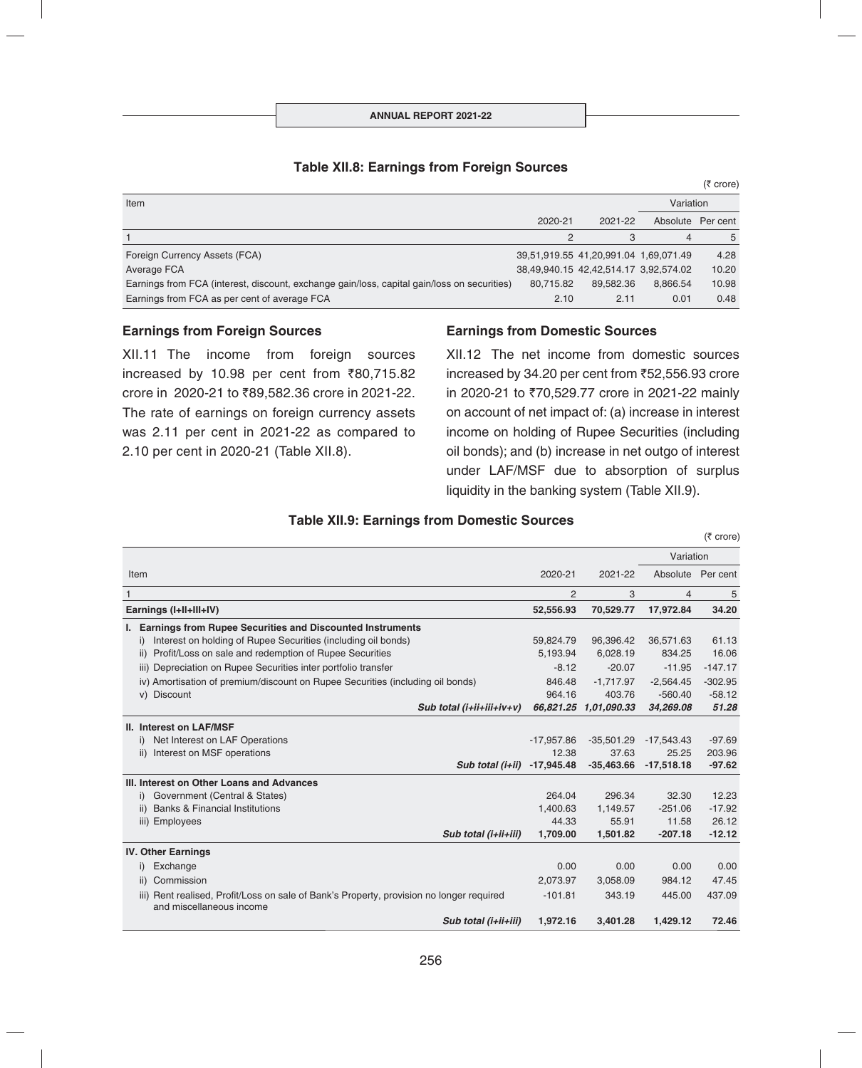| Item                                                                                        |           |                                       | Variation |                   |
|---------------------------------------------------------------------------------------------|-----------|---------------------------------------|-----------|-------------------|
|                                                                                             | 2020-21   | 2021-22                               |           | Absolute Per cent |
|                                                                                             |           |                                       | 4         | 5                 |
| Foreign Currency Assets (FCA)                                                               |           | 39,51,919.55 41,20,991.04 1,69,071.49 |           | 4.28              |
| Average FCA                                                                                 |           | 38,49,940.15 42,42,514.17 3,92,574.02 |           | 10.20             |
| Earnings from FCA (interest, discount, exchange gain/loss, capital gain/loss on securities) | 80.715.82 | 89.582.36                             | 8.866.54  | 10.98             |
| Earnings from FCA as per cent of average FCA                                                | 2.10      | 2.11                                  | 0.01      | 0.48              |

## **Table XII.8: Earnings from Foreign Sources**

#### **Earnings from Foreign Sources**

XII.11 The income from foreign sources increased by 10.98 per cent from  $\overline{80,715.82}$ crore in 2020-21 to ₹89,582.36 crore in 2021-22. The rate of earnings on foreign currency assets was 2.11 per cent in 2021-22 as compared to 2.10 per cent in 2020-21 (Table XII.8).

#### **Earnings from Domestic Sources**

XII.12 The net income from domestic sources increased by 34.20 per cent from  $\overline{5}2,556.93$  crore in 2020-21 to ₹70,529.77 crore in 2021-22 mainly on account of net impact of: (a) increase in interest income on holding of Rupee Securities (including oil bonds); and (b) increase in net outgo of interest under LAF/MSF due to absorption of surplus liquidity in the banking system (Table XII.9).

 $(5$  crore)

 $(5 \text{ core})$ 

## **Table XII.9: Earnings from Domestic Sources**

|                        |                                                                                                                      |                |                       | Variation         |           |
|------------------------|----------------------------------------------------------------------------------------------------------------------|----------------|-----------------------|-------------------|-----------|
| Item                   |                                                                                                                      | 2020-21        | 2021-22               | Absolute Per cent |           |
| 1                      |                                                                                                                      | $\overline{2}$ | 3                     | $\overline{4}$    | 5         |
| Earnings (I+II+III+IV) |                                                                                                                      | 52,556.93      | 70,529.77             | 17,972.84         | 34.20     |
|                        | I. Earnings from Rupee Securities and Discounted Instruments                                                         |                |                       |                   |           |
|                        | Interest on holding of Rupee Securities (including oil bonds)<br>i)                                                  | 59,824.79      | 96,396.42             | 36,571.63         | 61.13     |
|                        | Profit/Loss on sale and redemption of Rupee Securities<br>ii)                                                        | 5,193.94       | 6,028.19              | 834.25            | 16.06     |
|                        | iii) Depreciation on Rupee Securities inter portfolio transfer                                                       | $-8.12$        | $-20.07$              | $-11.95$          | $-147.17$ |
|                        | iv) Amortisation of premium/discount on Rupee Securities (including oil bonds)                                       | 846.48         | $-1,717.97$           | $-2,564.45$       | $-302.95$ |
|                        | v) Discount                                                                                                          | 964.16         | 403.76                | $-560.40$         | $-58.12$  |
|                        | Sub total $(i+iii+iiv+v)$                                                                                            |                | 66,821.25 1,01,090.33 | 34,269.08         | 51.28     |
|                        | II. Interest on LAF/MSF                                                                                              |                |                       |                   |           |
|                        | Net Interest on LAF Operations<br>i)                                                                                 | $-17,957.86$   | $-35,501.29$          | $-17,543.43$      | $-97.69$  |
|                        | Interest on MSF operations<br>ii)                                                                                    | 12.38          | 37.63                 | 25.25             | 203.96    |
|                        | Sub total (i+ii)                                                                                                     | $-17,945.48$   | $-35,463.66$          | $-17,518.18$      | $-97.62$  |
|                        | III. Interest on Other Loans and Advances                                                                            |                |                       |                   |           |
|                        | Government (Central & States)<br>i)                                                                                  | 264.04         | 296.34                | 32.30             | 12.23     |
|                        | <b>Banks &amp; Financial Institutions</b><br>ii)                                                                     | 1,400.63       | 1,149.57              | $-251.06$         | $-17.92$  |
|                        | iii) Employees                                                                                                       | 44.33          | 55.91                 | 11.58             | 26.12     |
|                        | Sub total (i+ii+iii)                                                                                                 | 1,709.00       | 1,501.82              | $-207.18$         | $-12.12$  |
|                        | <b>IV. Other Earnings</b>                                                                                            |                |                       |                   |           |
|                        | Exchange<br>i)                                                                                                       | 0.00           | 0.00                  | 0.00              | 0.00      |
|                        | Commission<br>ii)                                                                                                    | 2,073.97       | 3,058.09              | 984.12            | 47.45     |
|                        | iii) Rent realised, Profit/Loss on sale of Bank's Property, provision no longer required<br>and miscellaneous income | $-101.81$      | 343.19                | 445.00            | 437.09    |
|                        | Sub total (i+ii+iii)                                                                                                 | 1,972.16       | 3,401.28              | 1.429.12          | 72.46     |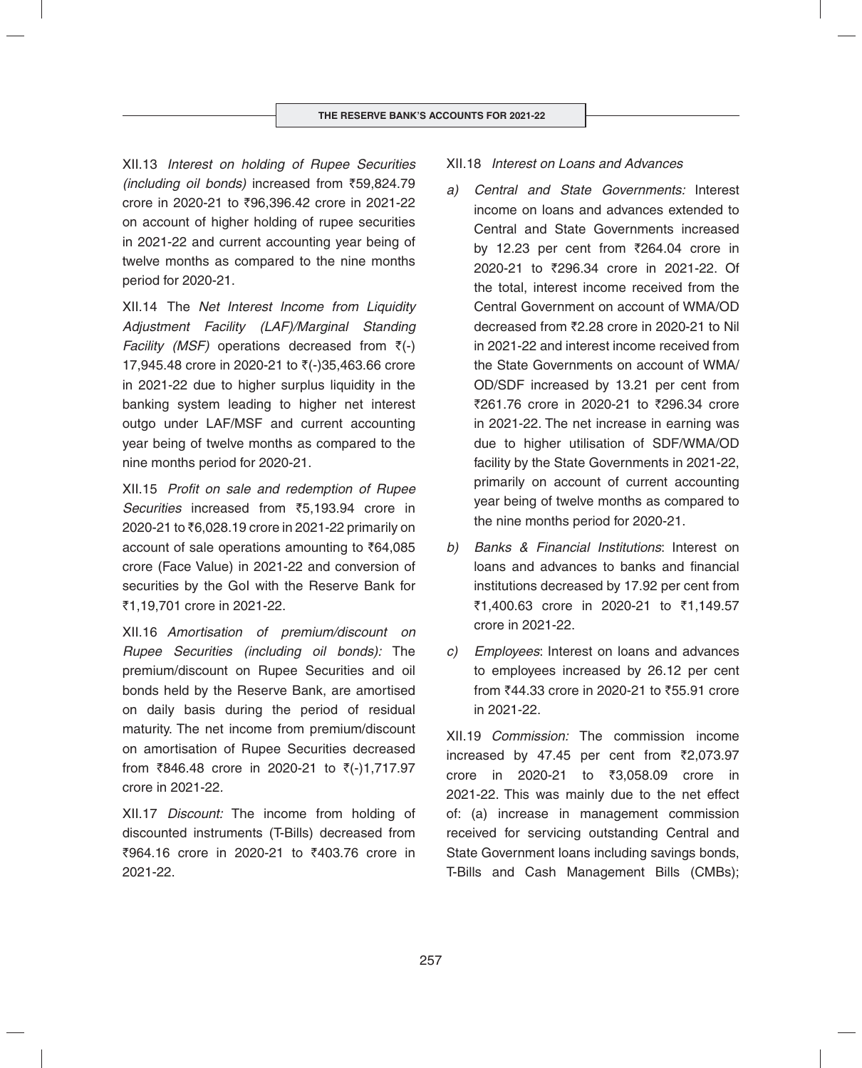XII.13 *Interest on holding of Rupee Securities (including oil bonds)* increased from `59,824.79 crore in 2020-21 to ₹96,396.42 crore in 2021-22 on account of higher holding of rupee securities in 2021-22 and current accounting year being of twelve months as compared to the nine months period for 2020-21.

XII.14 The *Net Interest Income from Liquidity Adjustment Facility (LAF)/Marginal Standing Facility (MSF)* operations decreased from  $\bar{\zeta}$ (-) 17,945.48 crore in 2020-21 to  $\bar{z}$ (-)35,463.66 crore in 2021-22 due to higher surplus liquidity in the banking system leading to higher net interest outgo under LAF/MSF and current accounting year being of twelve months as compared to the nine months period for 2020-21.

XII.15 *Profit on sale and redemption of Rupee Securities* increased from `5,193.94 crore in 2020-21 to ₹6,028.19 crore in 2021-22 primarily on account of sale operations amounting to  $\bar{\tau}64,085$ crore (Face Value) in 2021-22 and conversion of securities by the GoI with the Reserve Bank for ₹1,19,701 crore in 2021-22.

XII.16 *Amortisation of premium/discount on Rupee Securities (including oil bonds):* The premium/discount on Rupee Securities and oil bonds held by the Reserve Bank, are amortised on daily basis during the period of residual maturity. The net income from premium/discount on amortisation of Rupee Securities decreased from  $\overline{8846.48}$  crore in 2020-21 to  $\overline{5}(-)1,717.97$ crore in 2021-22*.*

XII.17 *Discount:* The income from holding of discounted instruments (T-Bills) decreased from ₹964.16 crore in 2020-21 to ₹403.76 crore in 2021-22.

## XII.18 *Interest on Loans and Advances*

- *a) Central and State Governments:* Interest income on loans and advances extended to Central and State Governments increased by 12.23 per cent from  $\overline{2}64.04$  crore in 2020-21 to ₹296.34 crore in 2021-22. Of the total, interest income received from the Central Government on account of WMA/OD decreased from ₹2.28 crore in 2020-21 to Nil in 2021-22 and interest income received from the State Governments on account of WMA/ OD/SDF increased by 13.21 per cent from ₹261.76 crore in 2020-21 to ₹296.34 crore in 2021-22. The net increase in earning was due to higher utilisation of SDF/WMA/OD facility by the State Governments in 2021-22, primarily on account of current accounting year being of twelve months as compared to the nine months period for 2020-21.
- *b) Banks & Financial Institutions*: Interest on loans and advances to banks and financial institutions decreased by 17.92 per cent from ₹1,400.63 crore in 2020-21 to ₹1,149.57 crore in 2021-22.
- *c) Employees*: Interest on loans and advances to employees increased by 26.12 per cent from ₹44.33 crore in 2020-21 to ₹55.91 crore in 2021-22.

XII.19 *Commission:* The commission income increased by 47.45 per cent from  $\bar{\zeta}2,073.97$ crore in 2020-21 to ₹3,058.09 crore in 2021-22. This was mainly due to the net effect of: (a) increase in management commission received for servicing outstanding Central and State Government loans including savings bonds, T-Bills and Cash Management Bills (CMBs);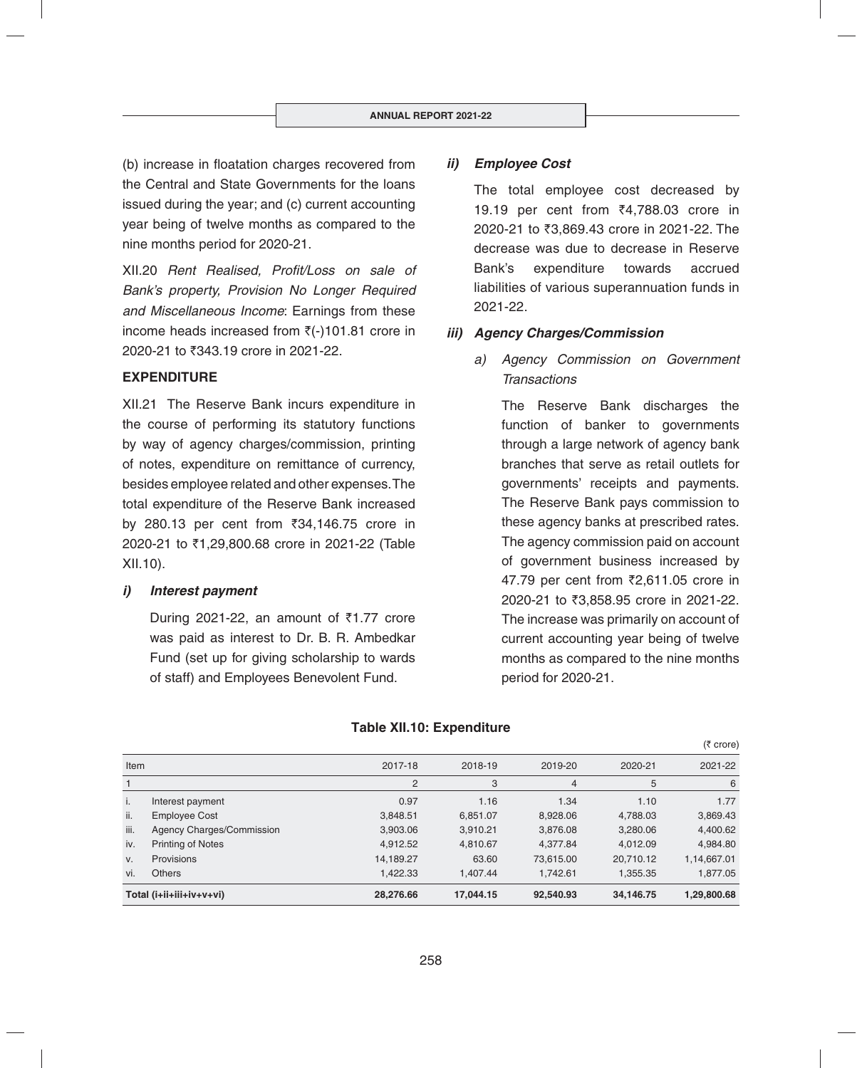(b) increase in floatation charges recovered from the Central and State Governments for the loans issued during the year; and (c) current accounting year being of twelve months as compared to the nine months period for 2020-21.

XII.20 *Rent Realised, Profit/Loss on sale of Bank's property, Provision No Longer Required and Miscellaneous Income*: Earnings from these income heads increased from  $\bar{z}$ (-)101.81 crore in 2020-21 to ₹343.19 crore in 2021-22.

## **EXPENDITURE**

XII.21 The Reserve Bank incurs expenditure in the course of performing its statutory functions by way of agency charges/commission, printing of notes, expenditure on remittance of currency, besides employee related and other expenses. The total expenditure of the Reserve Bank increased by 280.13 per cent from  $\overline{3}34,146.75$  crore in 2020-21 to ₹1,29,800.68 crore in 2021-22 (Table XII.10).

## *i) Interest payment*

During 2021-22, an amount of  $\overline{51.77}$  crore was paid as interest to Dr. B. R. Ambedkar Fund (set up for giving scholarship to wards of staff) and Employees Benevolent Fund.

## *ii) Employee Cost*

 The total employee cost decreased by 19.19 per cent from ₹4,788.03 crore in 2020-21 to ₹3,869.43 crore in 2021-22. The decrease was due to decrease in Reserve Bank's expenditure towards accrued liabilities of various superannuation funds in 2021-22.

## *iii) Agency Charges/Commission*

*a) Agency Commission on Government Transactions*

> The Reserve Bank discharges the function of banker to governments through a large network of agency bank branches that serve as retail outlets for governments' receipts and payments. The Reserve Bank pays commission to these agency banks at prescribed rates. The agency commission paid on account of government business increased by 47.79 per cent from ₹2,611.05 crore in 2020-21 to ₹3,858.95 crore in 2021-22. The increase was primarily on account of current accounting year being of twelve months as compared to the nine months period for 2020-21.

|             |                           |           |           |                |           | $(5 \text{ core})$ |
|-------------|---------------------------|-----------|-----------|----------------|-----------|--------------------|
| Item        |                           | 2017-18   | 2018-19   | 2019-20        | 2020-21   | 2021-22            |
|             |                           | 2         | 3         | $\overline{4}$ | 5         | 6                  |
| j.          | Interest payment          | 0.97      | 1.16      | 1.34           | 1.10      | 1.77               |
| ii.         | <b>Employee Cost</b>      | 3,848.51  | 6,851.07  | 8.928.06       | 4,788.03  | 3,869.43           |
| iii.        | Agency Charges/Commission | 3,903.06  | 3,910.21  | 3,876.08       | 3,280.06  | 4,400.62           |
| iv.         | <b>Printing of Notes</b>  | 4.912.52  | 4.810.67  | 4.377.84       | 4.012.09  | 4,984.80           |
| $V_{\cdot}$ | Provisions                | 14,189.27 | 63.60     | 73.615.00      | 20,710.12 | 1,14,667.01        |
| vi.         | <b>Others</b>             | 1,422.33  | 1.407.44  | 1,742.61       | 1,355.35  | 1,877.05           |
|             | Total (i+ii+iii+iv+v+vi)  | 28.276.66 | 17,044.15 | 92,540.93      | 34,146.75 | 1,29,800.68        |

#### **Table XII.10: Expenditure**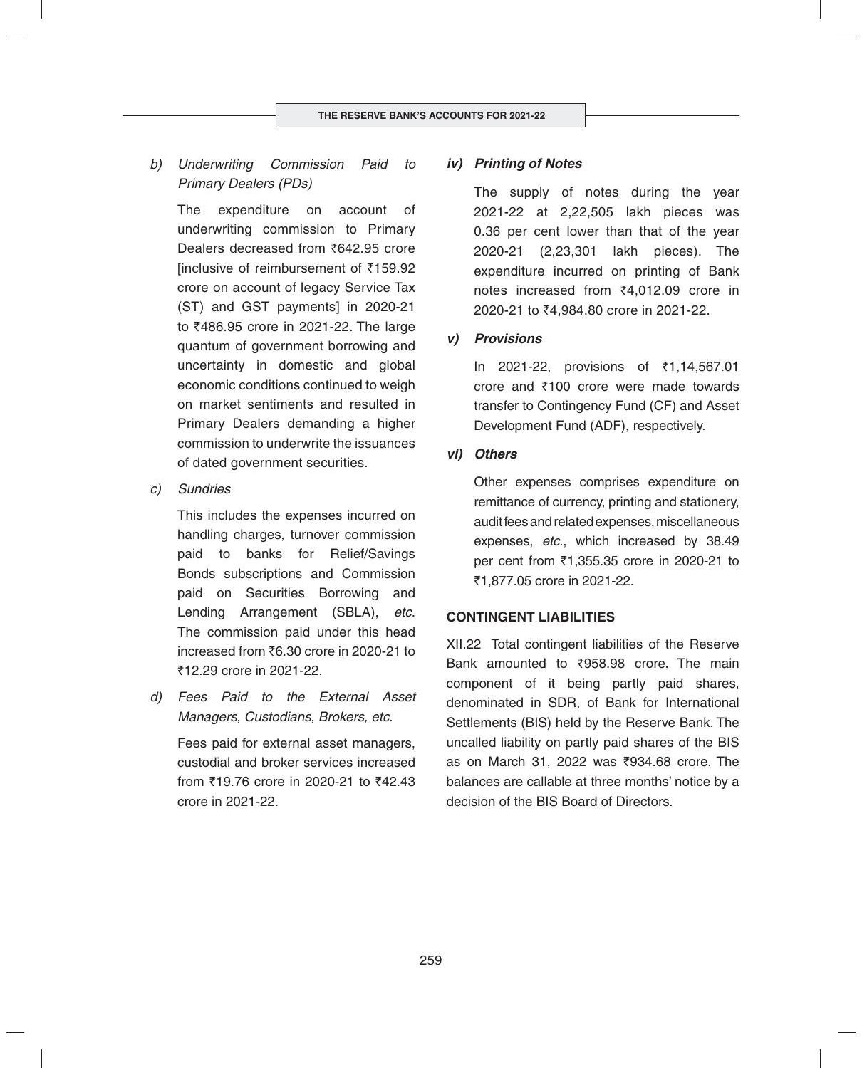*b) Underwriting Commission Paid to Primary Dealers (PDs)*

 The expenditure on account of underwriting commission to Primary Dealers decreased from  $\overline{5642.95}$  crore  $linewise of$  reimbursement of  $\overline{5159.92}$ crore on account of legacy Service Tax (ST) and GST payments] in 2020-21 to ₹486.95 crore in 2021-22. The large quantum of government borrowing and uncertainty in domestic and global economic conditions continued to weigh on market sentiments and resulted in Primary Dealers demanding a higher commission to underwrite the issuances of dated government securities.

*c) Sundries* 

 This includes the expenses incurred on handling charges, turnover commission paid to banks for Relief/Savings Bonds subscriptions and Commission paid on Securities Borrowing and Lending Arrangement (SBLA), *etc*. The commission paid under this head increased from  $\bar{f}6.30$  crore in 2020-21 to ₹12.29 crore in 2021-22.

*d) Fees Paid to the External Asset Managers, Custodians, Brokers, etc*.

 Fees paid for external asset managers, custodial and broker services increased from  $\overline{519.76}$  crore in 2020-21 to  $\overline{542.43}$ crore in 2021-22.

## *iv) Printing of Notes*

 The supply of notes during the year 2021-22 at 2,22,505 lakh pieces was 0.36 per cent lower than that of the year 2020-21 (2,23,301 lakh pieces). The expenditure incurred on printing of Bank notes increased from ₹4,012.09 crore in 2020-21 to ₹4,984.80 crore in 2021-22.

## *v) Provisions*

In 2021-22, provisions of ₹1,14,567.01 crore and  $\bar{\tau}$ 100 crore were made towards transfer to Contingency Fund (CF) and Asset Development Fund (ADF), respectively.

## *vi) Others*

Other expenses comprises expenditure on remittance of currency, printing and stationery, audit fees and related expenses, miscellaneous expenses, *etc*., which increased by 38.49 per cent from ₹1,355.35 crore in 2020-21 to ₹1,877.05 crore in 2021-22.

## **CONTINGENT LIABILITIES**

XII.22 Total contingent liabilities of the Reserve Bank amounted to ₹958.98 crore. The main component of it being partly paid shares, denominated in SDR, of Bank for International Settlements (BIS) held by the Reserve Bank. The uncalled liability on partly paid shares of the BIS as on March 31, 2022 was ₹934.68 crore. The balances are callable at three months' notice by a decision of the BIS Board of Directors.